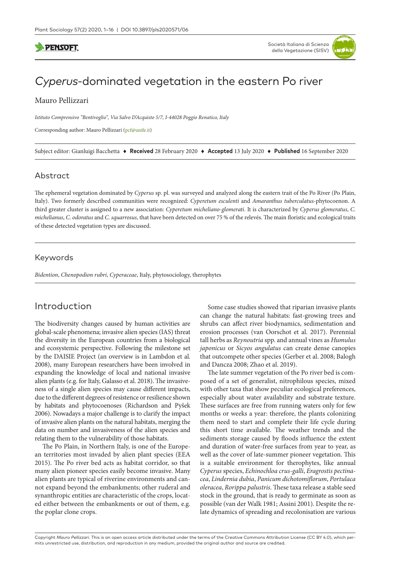# **PENSOFT**



# *Cyperus*-dominated vegetation in the eastern Po river

### Mauro Pellizzari

*Istituto Comprensivo "Bentivoglio", Via Salvo D'Acquisto 5/7, I-44028 Poggio Renatico, Italy*

Corresponding author: Mauro Pellizzari ([pcf@unife.it\)](mailto:pcf@unife.it)

Subject editor: Gianluigi Bacchetta ♦ **Received** 28 February 2020 ♦ **Accepted** 13 July 2020 ♦ **Published** 16 September 2020

### Abstract

The ephemeral vegetation dominated by *Cyperus* sp. pl. was surveyed and analyzed along the eastern trait of the Po River (Po Plain, Italy). Two formerly described communities were recognized: *Cyperetum esculenti* and *Amaranthus tuberculatus*-phytocoenon. A third greater cluster is assigned to a new association: *Cyperetum micheliano-glomerati*. It is characterized by *Cyperus glomeratus*, *C. michelianus*, *C. odoratus* and *C. squarrosus*, that have been detected on over 75 % of the relevés. The main floristic and ecological traits of these detected vegetation types are discussed.

#### Keywords

*Bidention*, *Chenopodion rubri*, *Cyperaceae*, Italy, phytosociology, therophytes

# Introduction

The biodiversity changes caused by human activities are global-scale phenomena; invasive alien species (IAS) threat the diversity in the European countries from a biological and ecosystemic perspective. Following the milestone set by the DAISIE Project (an overview is in Lambdon et al. 2008), many European researchers have been involved in expanding the knowledge of local and national invasive alien plants (e.g. for Italy, Galasso et al. 2018). The invasiveness of a single alien species may cause different impacts, due to the different degrees of resistence or resilience shown by habitats and phytocoenoses (Richardson and Pyšek 2006). Nowadays a major challenge is to clarify the impact of invasive alien plants on the natural habitats, merging the data on number and invasiveness of the alien species and relating them to the vulnerability of those habitats.

The Po Plain, in Northern Italy, is one of the European territories most invaded by alien plant species (EEA 2015). The Po river bed acts as habitat corridor, so that many alien pioneer species easily become invasive. Many alien plants are typical of riverine environments and cannot expand beyond the embankments; other ruderal and synanthropic entities are characteristic of the crops, located either between the embankments or out of them, e.g. the poplar clone crops.

Some case studies showed that riparian invasive plants can change the natural habitats: fast-growing trees and shrubs can affect river biodynamics, sedimentation and erosion processes (van Oorschot et al. 2017). Perennial tall herbs as *Reynoutria* spp. and annual vines as *Humulus japonicus* or *Sicyos angulatus* can create dense canopies that outcompete other species (Gerber et al. 2008; Balogh and Dancza 2008; Zhao et al. 2019).

The late summer vegetation of the Po river bed is composed of a set of generalist, nitrophilous species, mixed with other taxa that show peculiar ecological preferences, especially about water availability and substrate texture. These surfaces are free from running waters only for few months or weeks a year: therefore, the plants colonizing them need to start and complete their life cycle during this short time available. The weather trends and the sediments storage caused by floods influence the extent and duration of water-free surfaces from year to year, as well as the cover of late-summer pioneer vegetation. This is a suitable environment for therophytes, like annual *Cyperus* species, *Echinochloa crus-galli*, *Eragrostis pectinacea*, *Lindernia dubia*, *Panicum dichotomiflorum*, *Portulaca oleracea*, *Rorippa palustris*. These taxa release a stable seed stock in the ground, that is ready to germinate as soon as possible (van der Walk 1981; Assini 2001). Despite the relate dynamics of spreading and recolonisation are various

Copyright *Mauro Pellizzari.* This is an open access article distributed under the terms of the [Creative Commons Attribution License \(CC BY 4.0\)](http://creativecommons.org/licenses/by/4.0/), which permits unrestricted use, distribution, and reproduction in any medium, provided the original author and source are credited.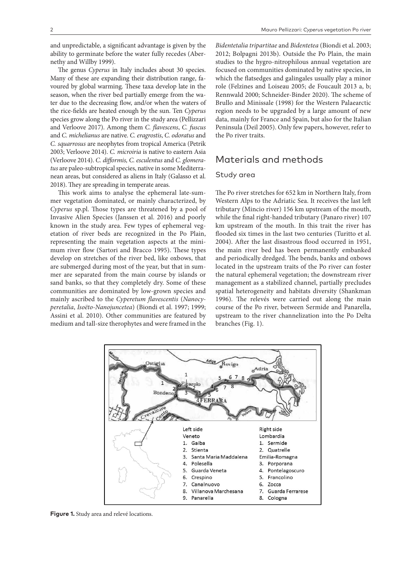and unpredictable, a significant advantage is given by the ability to germinate before the water fully recedes (Abernethy and Willby 1999).

The genus *Cyperus* in Italy includes about 30 species. Many of these are expanding their distribution range, favoured by global warming. These taxa develop late in the season, when the river bed partially emerge from the water due to the decreasing flow, and/or when the waters of the rice-fields are heated enough by the sun. Ten *Cyperus* species grow along the Po river in the study area (Pellizzari and Verloove 2017). Among them *C. flavescens*, *C. fuscus*  and *C. michelianus* are native. *C. eragrostis*, *C. odoratus* and *C. squarrosus* are neophytes from tropical America (Petrik 2003; Verloove 2014). *C. microiria* is native to eastern Asia (Verloove 2014). *C. difformis, C. esculentus* and *C. glomeratus* are paleo-subtropical species, native in some Mediterranean areas, but considered as aliens in Italy (Galasso et al. 2018). They are spreading in temperate areas.

This work aims to analyse the ephemeral late-summer vegetation dominated, or mainly characterized, by *Cyperus* sp.pl. Those types are threatened by a pool of Invasive Alien Species (Janssen et al. 2016) and poorly known in the study area. Few types of ephemeral vegetation of river beds are recognized in the Po Plain, representing the main vegetation aspects at the minimum river flow (Sartori and Bracco 1995). These types develop on stretches of the river bed, like oxbows, that are submerged during most of the year, but that in summer are separated from the main course by islands or sand banks, so that they completely dry. Some of these communities are dominated by low-grown species and mainly ascribed to the *Cyperetum flavescentis* (*Nanocyperetalia*, *Isoëto-Nanojuncetea*) (Biondi et al. 1997; 1999; Assini et al. 2010). Other communities are featured by medium and tall-size therophytes and were framed in the

*Bidentetalia tripartitae* and *Bidentetea* (Biondi et al. 2003; 2012; Bolpagni 2013b). Outside the Po Plain, the main studies to the hygro-nitrophilous annual vegetation are focused on communities dominated by native species, in which the flatsedges and galingales usually play a minor role (Felzines and Loiseau 2005; de Foucault 2013 a, b; Rennwald 2000; Schneider-Binder 2020). The scheme of Brullo and Minissale (1998) for the Western Palaearctic region needs to be upgraded by a large amount of new data, mainly for France and Spain, but also for the Italian Peninsula (Deil 2005). Only few papers, however, refer to the Po river traits.

# Materials and methods

### Study area

The Po river stretches for 652 km in Northern Italy, from Western Alps to the Adriatic Sea. It receives the last left tributary (Mincio river) 156 km upstream of the mouth, while the final right-handed tributary (Panaro river) 107 km upstream of the mouth. In this trait the river has flooded six times in the last two centuries (Turitto et al. 2004). After the last disastrous flood occurred in 1951, the main river bed has been permanently embanked and periodically dredged. The bends, banks and oxbows located in the upstream traits of the Po river can foster the natural ephemeral vegetation; the downstream river management as a stabilized channel, partially precludes spatial heterogeneity and habitats diversity (Shankman 1996). The relevés were carried out along the main course of the Po river, between Sermide and Panarella, upstream to the river channelization into the Po Delta branches (Fig. 1).



**Figure 1.** Study area and relevé locations.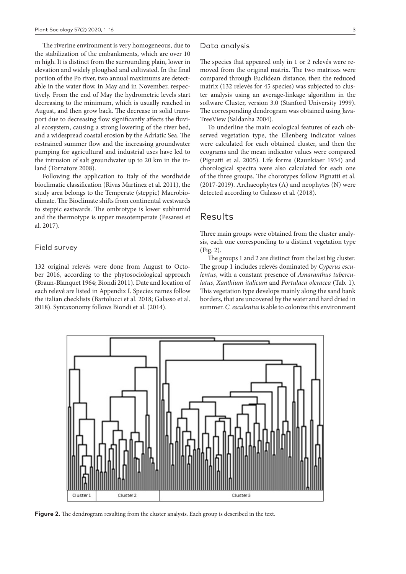The riverine environment is very homogeneous, due to the stabilization of the embankments, which are over 10 m high. It is distinct from the surrounding plain, lower in elevation and widely ploughed and cultivated. In the final portion of the Po river, two annual maximums are detectable in the water flow, in May and in November, respectively. From the end of May the hydrometric levels start decreasing to the minimum, which is usually reached in August, and then grow back. The decrease in solid transport due to decreasing flow significantly affects the fluvial ecosystem, causing a strong lowering of the river bed, and a widespread coastal erosion by the Adriatic Sea. The restrained summer flow and the increasing groundwater pumping for agricultural and industrial uses have led to the intrusion of salt groundwater up to 20 km in the inland (Tornatore 2008).

Following the application to Italy of the wordlwide bioclimatic classification (Rivas Martinez et al. 2011), the study area belongs to the Temperate (steppic) Macrobioclimate. The Bioclimate shifts from continental westwards to steppic eastwards. The ombrotype is lower subhumid and the thermotype is upper mesotemperate (Pesaresi et al. 2017).

#### Field survey

132 original relevés were done from August to October 2016, according to the phytosociological approach (Braun-Blanquet 1964; Biondi 2011). Date and location of each relevé are listed in Appendix I. Species names follow the italian checklists (Bartolucci et al. 2018; Galasso et al. 2018). Syntaxonomy follows Biondi et al. (2014).

#### Data analysis

The species that appeared only in 1 or 2 relevés were removed from the original matrix. The two matrixes were compared through Euclidean distance, then the reduced matrix (132 relevés for 45 species) was subjected to cluster analysis using an average-linkage algorithm in the software Cluster, version 3.0 (Stanford University 1999). The corresponding dendrogram was obtained using Java-TreeView (Saldanha 2004).

To underline the main ecological features of each observed vegetation type, the Ellenberg indicator values were calculated for each obtained cluster, and then the ecograms and the mean indicator values were compared (Pignatti et al. 2005). Life forms (Raunkiaer 1934) and chorological spectra were also calculated for each one of the three groups. The chorotypes follow Pignatti et al. (2017-2019). Archaeophytes (A) and neophytes (N) were detected according to Galasso et al. (2018).

## Results

Three main groups were obtained from the cluster analysis, each one corresponding to a distinct vegetation type (Fig. 2).

The groups 1 and 2 are distinct from the last big cluster. The group 1 includes relevés dominated by *Cyperus esculentus*, with a constant presence of *Amaranthus tuberculatus*, *Xanthium italicum* and *Portulaca oleracea* (Tab. 1). This vegetation type develops mainly along the sand bank borders, that are uncovered by the water and hard dried in summer. *C. esculentus* is able to colonize this environment



**Figure 2.** The dendrogram resulting from the cluster analysis. Each group is described in the text.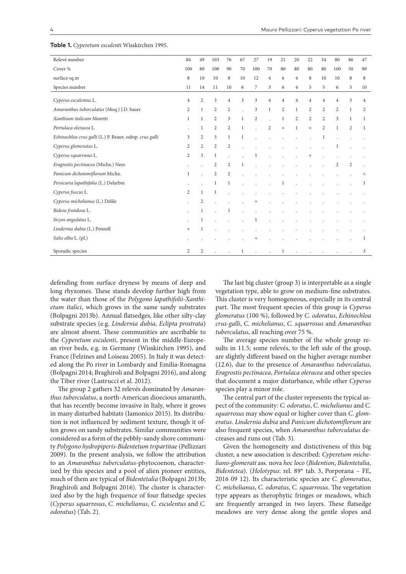| Relevé number                                           | 84                   | 49             | 103            | 76                      | 67             | 27             | 19             | 21             | 20             | 22             | 34                   | 80             | 86             | 47             |
|---------------------------------------------------------|----------------------|----------------|----------------|-------------------------|----------------|----------------|----------------|----------------|----------------|----------------|----------------------|----------------|----------------|----------------|
| Cover %                                                 | 100                  | 80             | 100            | 90                      | 70             | 100            | 70             | 80             | 80             | 80             | 80                   | 100            | 50             | 90             |
| surface sq.m                                            | 8                    | 10             | 10             | 8                       | 10             | 12             | $\overline{4}$ | 6              | $\overline{4}$ | 8              | 10                   | 10             | 8              | 8              |
| Species number                                          | 11                   | 14             | 11             | 10                      | 6              | 7              | 3              | 6              | $\overline{4}$ | 5              | 5                    | 6              | 5              | 10             |
| Cyperus esculentus L.                                   | $\overline{4}$       | $\overline{2}$ | 3              | $\overline{4}$          | $\overline{3}$ | $\overline{3}$ | $\overline{4}$ | $\overline{4}$ | $\overline{4}$ | $\overline{4}$ | $\overline{4}$       | $\overline{4}$ | 3              | $\overline{4}$ |
| Amaranthus tuberculatus (Moq.) J.D. Sauer               | 2                    | $\mathbf{1}$   | $\overline{2}$ | $\overline{2}$          |                | 3              | $\mathbf{1}$   | $\overline{2}$ | $\mathbf{1}$   | $\overline{2}$ | $\overline{2}$       | 2              | $\mathbf{1}$   | 2              |
| Xanthium italicum Moretti                               | $\mathbf{1}$         | $\mathbf{1}$   | $\overline{2}$ | $\overline{\mathbf{3}}$ | $\mathbf{1}$   | $\overline{2}$ |                | $\mathbf{1}$   | $\overline{c}$ | $\overline{2}$ | $\overline{2}$       | 3              | $\mathbf{1}$   | $\mathbf{1}$   |
| Portulaca oleracea L.                                   |                      | 1              | $\overline{2}$ | $\overline{c}$          | $\mathbf{1}$   |                | $\overline{2}$ | $+$            | $\mathbf{1}$   | $+$            | $\overline{2}$       | 1              | 2              | $\mathbf{1}$   |
| Echinochloa crus-galli (L.) P. Beauv. subsp. crus-galli | 3                    | $\overline{2}$ | $\mathfrak{Z}$ | 1                       | 1              |                |                |                |                |                | 1                    |                |                |                |
| Cyperus glomeratus L.                                   | 2                    | 2              | 2              | $\overline{2}$          |                |                |                |                |                |                |                      |                |                |                |
| Cyperus squarrosus L.                                   | $\overline{c}$       | $\mathfrak{Z}$ | $\mathbf{1}$   |                         |                | 1              |                |                |                |                |                      |                |                |                |
| Eragrostis pectinacea (Michx.) Nees                     |                      |                | $\overline{c}$ | 2                       | 1              |                |                |                |                |                |                      | $\overline{2}$ | $\overline{2}$ |                |
| Panicum dichotomiflorum Michx.                          | $\mathbf{1}$         |                | 2              | $\overline{2}$          |                |                |                |                |                |                |                      |                |                |                |
| Persicaria lapathifolia (L.) Delarbre                   |                      |                | $\mathbf{1}$   | 1                       |                |                |                |                |                |                |                      |                |                |                |
| Cyperus fuscus L.                                       | 2                    | 1              | 1              |                         |                |                |                |                |                |                |                      |                |                |                |
| Cyperus michelianus (L.) Delile                         | $\ddot{\phantom{0}}$ | 2              |                |                         |                | $^{+}$         |                |                |                |                |                      |                |                |                |
| Bidens frondosa L.                                      |                      | 1              |                | 1                       |                |                |                |                |                |                |                      |                |                |                |
| Sicyos angulatus L.                                     |                      | 1              |                |                         |                |                |                |                |                |                |                      |                |                |                |
| Lindernia dubia (L.) Pennell                            | $^{+}$               | 1              |                |                         |                |                |                |                |                |                |                      |                |                |                |
| Salix alba L. (pl.)                                     |                      |                |                |                         |                |                |                |                |                |                |                      |                |                | 1              |
| Sporadic species                                        | 2                    | 2              | $\mathbf{r}$   |                         | $\mathbf{1}$   | $\mathbf{r}$   |                | $\mathbf{1}$   |                |                | $\ddot{\phantom{a}}$ |                |                | 3              |

**Table 1.** *Cyperetum esculenti* Wisskirchen 1995.

defending from surface dryness by means of deep and long rhyzomes. These stands develop further high from the water than those of the *Polygono lapathifolii-Xanthietum italici*, which grows in the same sandy substrates (Bolpagni 2013b). Annual flatsedges, like other silty-clay substrate species (e.g. *Lindernia dubia*, *Eclipta prostrata*) are almost absent. These communities are ascribable to the *Cyperetum esculenti*, present in the middle-European river beds, e.g. in Germany (Wisskirchen 1995), and France (Felzines and Loiseau 2005). In Italy it was detected along the Po river in Lombardy and Emilia-Romagna (Bolpagni 2014; Braghiroli and Bolpagni 2016), and along the Tiber river (Lastrucci et al. 2012).

The group 2 gathers 32 relevés dominated by *Amaranthus tuberculatus*, a north-American dioecious amaranth, that has recently become invasive in Italy, where it grows in many disturbed habitats (Iamonico 2015). Its distribution is not influenced by sediment texture, though it often grows on sandy substrates. Similar communities were considered as a form of the pebbly-sandy shore community *Polygono hydropiperis-Bidentetum tripartitae* (Pellizzari 2009). In the present analysis, we follow the attribution to an *Amaranthus tuberculatus*-phytocoenon, characterized by this species and a pool of alien pioneer entities, much of them are typical of *Bidentetalia* (Bolpagni 2013b; Braghiroli and Bolpagni 2016). The cluster is characterized also by the high frequence of four flatsedge species (*Cyperus squarrosus*, *C. michelianus*, *C. esculentus* and *C. odoratus*) (Tab. 2).

The last big cluster (group 3) is interpretable as a single vegetation type, able to grow on medium-fine substrates. This cluster is very homogeneous, especially in its central part. The most frequent species of this group is *Cyperus glomeratus* (100 %), followed by *C. odoratus*, *Echinochloa crus-galli*, *C. michelianus*, *C. squarrosus* and *Amaranthus tuberculatus*, all reaching over 75 %.

The average species number of the whole group results in 11.5; some relevés, to the left side of the group, are slightly different based on the higher average number (12.6), due to the presence of *Amaranthus tuberculatus*, *Eragrostis pectinacea*, *Portulaca oleracea* and other species that document a major disturbance, while other *Cyperus* species play a minor role.

The central part of the cluster represents the typical aspect of the community: *C. odoratus*, *C. michelianus* and *C. squarrosus* may show equal or higher cover than *C. glomeratus*. *Lindernia dubia* and *Panicum dichotomiflorum* are also frequent species, when *Amaranthus tuberculatus* decreases and runs out (Tab. 3).

Given the homogeneity and distictiveness of this big cluster, a new association is described: *Cyperetum micheliano-glomerati* ass. nova *hoc loco* (*Bidention*, *Bidentetalia*, *Bidentetea*). (*Holotypus*: rel. 89\* tab. 3, Porporana – FE, 2016 09 12). Its characteristic species are *C. glomeratus*, *C. michelianus*, *C. odoratus*, *C. squarrosus*. The vegetation type appears as therophytic fringes or meadows, which are frequently arranged in two layers. These flatsedge meadows are very dense along the gentle slopes and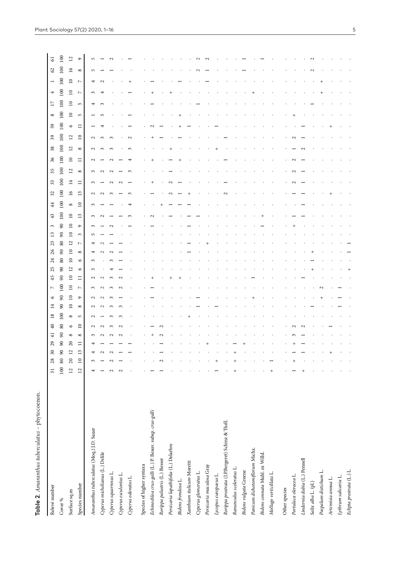**Table 2**. *Amaranthus tuberculatus* – phytocoenon.

Table 2. Amaranthus tuberculatus - phytocoenon.

| Relevé number                                           | $\overline{31}$ | 28              | $30\,$         | 29     | $\overline{40}$<br>$\overline{4}$ | $\overline{18}$ | $\overline{14}$ | $\circ$     | $\triangleright$ | 45           | 25                      | 26<br>24                          | 23             | 13                  | 3        | 43            | 44              | 32                      | $33\,$          | 35                  | $36\,$          | $38\,$              | $\mathfrak{S}6$         | 59      | ${}^{\circ}$    | $\overline{\phantom{0}}$ | 4                | $\overline{ }$   | $\mathcal{L}$           | $\overline{6}$ |
|---------------------------------------------------------|-----------------|-----------------|----------------|--------|-----------------------------------|-----------------|-----------------|-------------|------------------|--------------|-------------------------|-----------------------------------|----------------|---------------------|----------|---------------|-----------------|-------------------------|-----------------|---------------------|-----------------|---------------------|-------------------------|---------|-----------------|--------------------------|------------------|------------------|-------------------------|----------------|
| Cover %                                                 | 100             | 80              | 90             | $90\,$ | $\rm 80$<br>$\pmb{8}$             | $100\,$         | $90\,$          | $_{90}$     | 100              | $90\,$       | $90\,$                  | $\pmb{\mathcal{S}}$<br>$\rm 80$   | $\rm 80$       | $\pmb{\mathcal{S}}$ | $90\,$   | $100\,$       | 100             | $100\,$                 | $100\,$         | $100\,$             | $100\,$         | $100\,$             | $100\,$                 | $100\,$ | $100\,$         | 100                      | $100\,$          | $100\,$          | 100                     | 100            |
| Surface sq.m                                            | $\overline{c}$  | $20\,$          | $\overline{c}$ | $20\,$ | $\circ$<br>$\infty$               | $\infty$        | $\square$       | $\Xi$       | $\overline{10}$  | $\square$    | $\overline{\mathbf{L}}$ | $\overline{a}$<br>$\overline{10}$ | $\overline{2}$ | $\overline{a}$      | $\Xi$    | $\Xi$         | ${}^{\circ}$    | $\overline{\mathsf{d}}$ | $\Xi$           | $\overline{\omega}$ | $\mathsf{D}$    | $\overline{\omega}$ | $\overline{\mathbf{r}}$ | $\circ$ | $\overline{10}$ | $\overline{10}$          | $\overline{10}$  | $\overline{10}$  | $\overline{\mathbf{5}}$ | $\overline{2}$ |
| Species number                                          | $\overline{12}$ | $\overline{10}$ | S              | Ξ      | $\mathbf{r}$<br>${}^{\circ}$      | S               | ${}^{\circ}$    | $\circ$     | $\triangleright$ | Ξ            | $\circ$                 | ${}^{\circ}$<br>$\circ$           | $\overline{ }$ | $\mathfrak{g}$      | $\sigma$ | $\frac{3}{2}$ | $\overline{10}$ | 13                      | Ξ               | ${}^{\circ}$        | Ξ               | ${}^{\circ}$        | $\overline{10}$         | Ξ       | S               | $\mathsf{L}\cap$         | $\triangleright$ | $\triangleright$ | ${}^{\circ}$            | $\circ$        |
| Amaranthus tuberculatus (Moq.) J.D. Sauer               |                 | 3               |                |        | 3                                 | $\mathbf{\sim}$ |                 | $\mathbf 2$ | $\sim$           | $\mathbf{c}$ | ς                       | $\mathfrak{g}$                    |                | m                   |          | 3             | 3               | $\mathbf{c}$            | $\epsilon$      | $\epsilon$          | $\mathbf{\sim}$ | $\mathbf{\sim}$     | $\mathbf{c}$            |         |                 |                          | $\sim$           |                  | LO                      | 5              |
| Cyperus michelianus (L.) Delile                         |                 |                 |                |        |                                   |                 |                 |             |                  |              |                         |                                   |                |                     |          |               |                 |                         |                 | $\mathbf{\sim}$     |                 |                     | 3                       |         |                 |                          |                  |                  |                         |                |
| Cyperus squarrosus L.                                   |                 |                 |                |        |                                   |                 |                 |             |                  |              |                         |                                   |                |                     |          |               |                 |                         | $\mathbf{\sim}$ | $\mathbf{\sim}$     |                 | 3                   | $\mathcal{E}$           |         |                 |                          |                  |                  |                         |                |
| Cyperus esculentus L.                                   |                 |                 |                |        |                                   |                 |                 |             |                  |              |                         |                                   |                |                     |          |               |                 |                         | $\sim$          |                     |                 |                     |                         |         |                 |                          |                  |                  |                         |                |
| Cyperus odoratus L.                                     |                 |                 |                |        |                                   |                 |                 |             |                  |              |                         |                                   |                |                     |          |               |                 |                         |                 |                     |                 |                     |                         |         |                 |                          |                  |                  |                         |                |
| Species of higher syntaxa                               |                 |                 |                |        |                                   |                 |                 |             |                  |              |                         |                                   |                |                     |          |               |                 |                         |                 |                     |                 |                     |                         |         |                 |                          |                  |                  |                         |                |
| Echinochloa crus-galli (L.) P. Beauv. subsp. crus-galli |                 |                 |                |        |                                   |                 |                 |             |                  |              |                         |                                   |                |                     |          |               |                 |                         |                 |                     |                 |                     |                         |         |                 |                          |                  |                  |                         |                |
| Rorippa palustris (L.) Besser                           |                 |                 |                |        |                                   |                 |                 |             |                  |              |                         |                                   |                |                     |          |               |                 |                         |                 |                     |                 |                     |                         |         |                 |                          |                  |                  |                         |                |
| Persicaria lapathifolia (L.) Delarbre                   |                 |                 |                |        |                                   |                 |                 |             |                  |              |                         |                                   |                |                     |          |               |                 |                         |                 |                     |                 |                     |                         |         |                 |                          |                  |                  |                         |                |
| Bidens frondosa L.                                      |                 |                 |                |        |                                   |                 |                 |             |                  |              |                         |                                   |                |                     |          |               |                 |                         |                 |                     |                 |                     |                         |         |                 |                          |                  |                  |                         |                |
| Xanthium italicum Moretti                               |                 |                 |                |        |                                   |                 |                 |             |                  |              |                         |                                   |                |                     |          |               |                 |                         |                 |                     |                 |                     |                         |         |                 |                          |                  |                  |                         |                |
| Cyperus glomeratus L.                                   |                 |                 |                |        |                                   |                 |                 |             |                  |              |                         |                                   |                |                     |          |               |                 |                         |                 |                     |                 |                     |                         |         |                 |                          |                  |                  |                         |                |
| Persicaria maculosa Gray                                |                 |                 |                |        |                                   |                 |                 |             |                  |              |                         |                                   |                |                     |          |               |                 |                         |                 |                     |                 |                     |                         |         |                 |                          |                  |                  |                         |                |
| Lycopus europaeus L.                                    |                 |                 |                |        |                                   |                 |                 |             |                  |              |                         |                                   |                |                     |          |               |                 |                         |                 |                     |                 |                     |                         |         |                 |                          |                  |                  |                         |                |
| Rorippa prostrata (J.P.Bergeret) Schinz & Thell.        |                 |                 |                |        |                                   |                 |                 |             |                  |              |                         |                                   |                |                     |          |               |                 |                         |                 |                     |                 |                     |                         |         |                 |                          |                  |                  |                         |                |
| Ranunculus sceleratus L.                                |                 |                 |                |        |                                   |                 |                 |             |                  |              |                         |                                   |                |                     |          |               |                 |                         |                 |                     |                 |                     |                         |         |                 |                          |                  |                  |                         |                |
| Bidens vulgata Greene                                   |                 |                 |                |        |                                   |                 |                 |             |                  |              |                         |                                   |                |                     |          |               |                 |                         |                 |                     |                 |                     |                         |         |                 |                          |                  |                  |                         |                |
| Panicum dichotomiflorum Michx.                          |                 |                 |                |        |                                   |                 |                 |             |                  |              |                         |                                   |                |                     |          |               |                 |                         |                 |                     |                 |                     |                         |         |                 |                          |                  |                  |                         |                |
| Bidens connata Muhl. ex Willd.                          |                 |                 |                |        |                                   |                 |                 |             |                  |              |                         |                                   |                |                     |          |               |                 |                         |                 |                     |                 |                     |                         |         |                 |                          |                  |                  |                         |                |
| Mollugo verticillata L.                                 |                 |                 |                |        |                                   |                 |                 |             |                  |              |                         |                                   |                |                     |          |               |                 |                         |                 |                     |                 |                     |                         |         |                 |                          |                  |                  |                         |                |
| Other species                                           |                 |                 |                |        |                                   |                 |                 |             |                  |              |                         |                                   |                |                     |          |               |                 |                         |                 |                     |                 |                     |                         |         |                 |                          |                  |                  |                         |                |
| Portulaca oleracea L.                                   |                 |                 |                |        |                                   |                 |                 |             |                  |              |                         |                                   |                |                     |          |               |                 |                         |                 |                     |                 |                     |                         |         |                 |                          |                  |                  |                         |                |
| Lindernia dubia (L.) Pennell                            |                 |                 |                |        |                                   |                 |                 |             |                  |              |                         |                                   |                |                     |          |               |                 |                         |                 |                     |                 |                     |                         |         |                 |                          |                  |                  |                         |                |
| Salix alba L. (pl.)                                     |                 |                 |                |        |                                   |                 |                 |             |                  |              |                         |                                   |                |                     |          |               |                 |                         |                 |                     |                 |                     |                         |         |                 |                          |                  |                  |                         |                |
| Paspalum distichum L.                                   |                 |                 |                |        |                                   |                 |                 |             |                  |              |                         |                                   |                |                     |          |               |                 |                         |                 |                     |                 |                     |                         |         |                 |                          |                  |                  |                         |                |
| Artemisia annua L.                                      |                 |                 |                |        |                                   |                 |                 |             |                  |              |                         |                                   |                |                     |          |               |                 |                         |                 |                     |                 |                     |                         |         |                 |                          |                  |                  |                         |                |
| Lythrum salicaria L.                                    |                 |                 |                |        |                                   |                 |                 |             |                  |              |                         |                                   |                |                     |          |               |                 |                         |                 |                     |                 |                     |                         |         |                 |                          |                  |                  |                         |                |
| Eclipta prostrata (L.) L.                               |                 |                 |                |        |                                   |                 |                 |             |                  |              |                         |                                   |                |                     |          |               |                 |                         |                 |                     |                 |                     |                         |         |                 |                          |                  |                  |                         |                |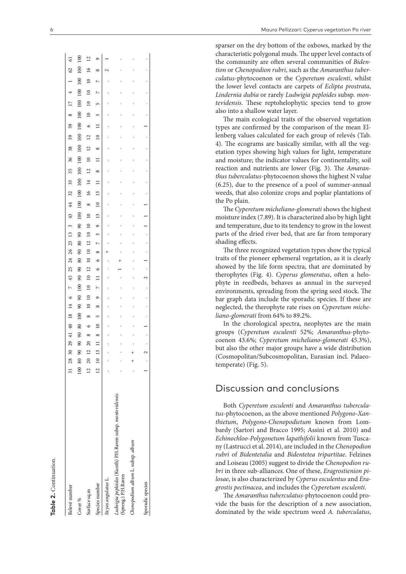sparser on the dry bottom of the oxbows, marked by the characteristic polygonal muds. The upper level contacts of the community are often several communities of *Biden tion* or *Chenopodion rubri*, such as the *Amaranthus tuber culatus*-phytocoenon or the *Cyperetum esculenti*, whilst the lower level contacts are carpets of *Eclipta prostrata*, *Lindernia dubia* or rarely *Ludwigia peploides* subsp. *mon tevidensis*. These reptohelophytic species tend to grow also into a shallow water layer.

The main ecological traits of the observed vegetation types are confirmed by the comparison of the mean El lenberg values calculated for each group of relevés (Tab. 4). The ecograms are basically similar, with all the veg etation types showing high values for light, temperature and moisture; the indicator values for continentality, soil reaction and nutrients are lower (Fig. 3). The *Amaran thus tuberculatus*-phytocoenon shows the highest N value (6.25), due to the presence of a pool of summer-annual weeds, that also colonize crops and poplar plantations of the Po plain.

The *Cyperetum micheliano-glomerati* shows the highest moisture index (7.89). It is characterized also by high light and temperature, due to its tendency to grow in the lowest parts of the dried river bed, that are far from temporary shading effects.

The three recognized vegetation types show the typical traits of the pioneer ephemeral vegetation, as it is clearly showed by the life form spectra, that are dominated by therophytes (Fig. 4). *Cyperus glomeratus*, often a helo phyte in reedbeds, behaves as annual in the surveyed environments, spreading from the spring seed stock. The bar graph data include the sporadic species. If these are neglected, the therophyte rate rises on *Cyperetum miche liano-glomerati* from 64% to 89.2%.

In the chorological spectra, neophytes are the main groups (*Cyperetum esculenti* 52%; *Amaranthus*-phyto coenon 43.6%; *Cyperetum micheliano-glomerati* 45.3%), but also the other major groups have a wide distribution (Cosmopolitan/Subcosmopolitan, Eurasian incl. Palaeo temperate) (Fig. 5).

# Discussion and conclusions

Both *Cyperetum esculenti* and *Amaranthus tubercula tus*-phytocoenon, as the above mentioned *Polygono-Xan thietum*, *Polygono-Chenopodietum* known from Lom bardy (Sartori and Bracco 1995; Assini et al. 2010) and *Echinochloo-Polygonetum lapathifolii* known from Tusca ny (Lastrucci et al. 2014), are included in the *Chenopodion rubri* of *Bidentetalia* and *Bidentetea tripartitae*. Felzines and Loiseau (2005) suggest to divide the *Chenopodion ru bri* in three sub-alliances. One of these, *Eragrostienion pi losae*, is also characterized by *Cyperus esculentus* and *Era grostis pectinacea*, and includes the *Cyperetum esculenti* .

The *Amaranthus tuberculatus*-phytocoenon could pro vide the basis for the description of a new association, dominated by the wide spectrum weed *A. tuberculatus*,

 $\overline{8}$ Cover % 100 80 90 90 90 80 100 90 90 100 90 90 80 90 80 90 90 100 100 100 100 100 100 100 100 100 100 100 100 100 100 100  $\overline{2}$  $\overline{6}$ 31 28 30 29 41 40 18 14 6 7 45 25 24 26 23 13 3 43 44 32 33 35 36 38 39 59 8 17 4 1 62 61 Surface sq.m 12 20 12 20 8 6 8 10 10 10 10 12 10 10 12 10 10 10 8 16 14 12 10 12 12 6 10 10 10 10 16 12 Species number 12 10 12 12 12 12 12 12 12 13 13 13 13 13 13 13 13 13 13 13 14 14 14 15 17 18 10 12 12 13 14 15 17 18 17 18 10 12 12 13 14 15 17 18 19 10 10 11 12 12 13 14 15 17 18 10 12 12 13 14 15 17 18 19 10 10 11 12 13 *Sicyos angulatus* L. . . . . . . . . . . . . . + . . . . . . . . . . . . . . . . 2 1  $\sum_{i=1}^{n}$ **Chenopodium album album lines is album album album album album album album album album album album album album album album album album album album album album album album album album album album album album album album**  $\Gamma$  . The complete species of  $\Gamma$  . The contract of  $\Gamma$  . The contract of  $\Gamma$  . The contract of  $\Gamma$  . The contract of  $\Gamma$  is  $\Gamma$  . The contract of  $\Gamma$  is  $\Gamma$  is  $\Gamma$  . The contract of  $\Gamma$  is  $\Gamma$  is  $\Gamma$  is  $\Gamma$  $\overline{0}$  $\overline{16}$  $\mathcal{O}$  $\alpha$  $\overline{0}$  $\overline{a}$  $\overline{a}$  $\overline{0}$  $\subseteq$  $\overline{00}$  $\triangleright$  $\subseteq$  $\overline{16}$  $\overline{0}$  $\overline{a}$  $\mathbf{r}$  $\overline{0}$  $59$  $\circ$  $\overline{a}$ ě  $100$  $\overline{a}$  $\subseteq$  $100$  $\overline{38}$  $\overline{a}$  $\frac{8}{5}$  $\approx$  $\overline{a}$  $\equiv$  $\overline{0}$  $\overline{a}$  $35<sub>5</sub>$  $\alpha$ 33 100  $\overline{14}$  $\equiv$  $\overline{32}$  $\overline{0}$  $\overline{16}$  $\overline{13}$  $\infty$  $\ddot{4}$  $\infty$  $\subseteq$  $\overline{00}$  $\overline{a}$  $43$  $\overline{13}$  $\infty$  $\overline{10}$  $\tilde{ }$  $\sigma$  $\overline{13}$  $\infty$  $\overline{a}$  $\tilde{r}$  $23$  $80$  $\overline{a}$  $\triangleright$  $\approx$  $\frac{26}{5}$  $\infty$  $\infty$  $\overline{50}$  $\overline{a}$  $24$  $\circ$  $\overline{6}$  $\overline{12}$ 25  $\circ$  $\frac{1}{2}$  $\overline{6}$  $\overline{a}$  $\Box$  $\sim$  $\overline{0}$  $\subseteq$  $\sim$  $\sim$  $\overline{6}$  $\overline{a}$  $\sqrt{2}$  $\sigma$ இ  $\overline{a}$  $\overline{4}$  $\alpha$  $\overline{18}$  $100$  $\infty$ ഹ  $\overline{40}$ 80  $\circ$  $\circ$  $\infty$  $\infty$  $\overline{a}$  $\alpha$ 2  $\infty$  $\overline{c}$  $\Box$  $\overline{c}$  $\tilde{S}$  $\infty$  $\tilde{c}$  $80$  $20$  $\subseteq$  $\frac{8}{2}$  $\circ$  $\overline{12}$  $\overline{c}$  $\overline{31}$ Ludwigia peploides (Kunth) P.H.Raven subsp. montevidensis *Ludwigia peploides* (Kunth) P.H.Raven subsp. *montevidensis* Chenopodium album L. subsp. album (Spreng.) P.H.Raven Sicyos angulatus L. Species number Sporadic species Relevé number Relevé number Surface sq.m Cover %

**Table 2.** Continuation.

cuble 2. Continuation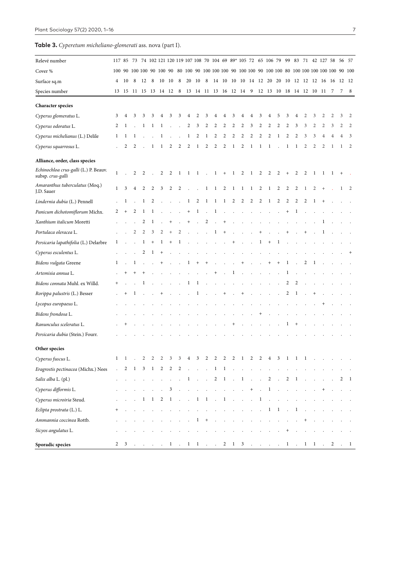**Table 3.** *Cyperetum micheliano-glomerati* ass. nova (part I).

| Relevé number                                              |                      |        |                      |              |             |        |              |                 |                      |                 |                      |                |                |                     | 117 85 73 74 102 121 120 119 107 108 70 104 69 89* 105 72 65 106 79 99 83 71 42 127 58 56 57 |                |                |                          |         |              |                |                |                |                |                |                |              |
|------------------------------------------------------------|----------------------|--------|----------------------|--------------|-------------|--------|--------------|-----------------|----------------------|-----------------|----------------------|----------------|----------------|---------------------|----------------------------------------------------------------------------------------------|----------------|----------------|--------------------------|---------|--------------|----------------|----------------|----------------|----------------|----------------|----------------|--------------|
| Cover %                                                    |                      |        |                      |              |             |        |              |                 |                      |                 |                      |                |                |                     |                                                                                              |                |                |                          |         |              |                |                |                |                |                |                |              |
| Surface sq.m                                               | $\overline{4}$       | 10     | 8                    | 12           | 8           | 10     | 10           | 8               | 20                   | 10              | - 8                  |                |                |                     | 14 10 10 10 14 12 20 20 10 12 12 12 16 16 12 12                                              |                |                |                          |         |              |                |                |                |                |                |                |              |
| Species number                                             |                      |        | 13 15 11 15 13 14 12 |              |             |        |              | 8               |                      |                 |                      |                |                |                     | 13 14 11 13 16 12 14 9 12 13 10 18 14 12 10 11                                               |                |                |                          |         |              |                |                |                |                | - 7            | 7              | 8            |
| <b>Character species</b>                                   |                      |        |                      |              |             |        |              |                 |                      |                 |                      |                |                |                     |                                                                                              |                |                |                          |         |              |                |                |                |                |                |                |              |
| Cyperus glomeratus L.                                      | 3                    | 4      | 3                    | 3            | 3           | 4      | 3            | 3               |                      |                 | 3                    |                | 4              | 3                   |                                                                                              |                | 3              |                          |         |              |                | 2              | 3              | 2              | 2              | 3              | 2            |
| Cyperus odoratus L.                                        | 2                    | 1      |                      | 1            |             | 1      |              |                 | 2                    | 3               | 2                    | 2              | 2              | 2                   | 2                                                                                            | 3              | 2              | 2                        | 2       | 2            | 3              | 3              | 2              | 2              | 3              | 2              | 2            |
| Cyperus michelianus (L.) Delile                            | 1                    | 1      | 1                    |              |             | 1      |              |                 | 1                    | 2               | $\mathbf{1}$         | $\overline{c}$ | 2              | 2                   | $\overline{c}$                                                                               | 2              | 2              | $\overline{2}$           | 1       | 2            | 2              | 3              | 3              | 4              | $\overline{4}$ | $\overline{4}$ | 3            |
| Cyperus squarrosus L.                                      |                      | 2      | 2                    |              |             |        | 2            | 2               | 2                    | 1               | 2                    | 2              | 2              | 1                   | 2                                                                                            |                |                | 1                        |         | 1            | 1              | $\overline{2}$ | $\overline{2}$ | $\overline{c}$ | 1              | -1             | 2            |
| Alliance, order, class species                             |                      |        |                      |              |             |        |              |                 |                      |                 |                      |                |                |                     |                                                                                              |                |                |                          |         |              |                |                |                |                |                |                |              |
| Echinochloa crus-galli (L.) P. Beauv.<br>subsp. crus-galli | $\mathbf{1}$         |        | 2                    | 2            |             | 2      | 2            | 1               | 1                    | -1              | $\cdot$              | $\mathbf{1}$   | $^{+}$         | $\mathbf{1}$        | $\overline{2}$                                                                               | -1             | $\overline{c}$ | 2                        | 2       | $^{+}$       | 2              | 2              | 1              | 1              | 1              | $^{+}$         |              |
| Amaranthus tuberculatus (Moq.)<br>J.D. Sauer               | $\mathbf{1}$         | 3      | $\overline{4}$       | 2            | 2           | 3      | 2            | 2               |                      |                 | $\mathbf{1}$         | $\mathbf{1}$   | $\overline{2}$ | $\,1\,$             | 1                                                                                            | -1             | 2              | $\mathbf{1}$             | 2       | 2            | 2              | 1              | 2              | $^{+}$         |                | 1              | 2            |
| Lindernia dubia (L.) Pennell                               |                      | 1      |                      | 1            | 2           |        |              |                 | $\mathbf{1}$         | 2               | $\mathbf{1}$         | $\overline{1}$ | $\mathbf{1}$   | $\overline{c}$      | $\overline{2}$                                                                               | 2              | 2              | $\mathbf{1}$             | 2       | 2            | 2              | 2              | 1              | $+$            |                |                |              |
| Panicum dichotomiflorum Michx.                             | 2                    | $^{+}$ | 2                    | 1            | 1           |        |              |                 | $^{+}$               | 1               |                      | 1              |                |                     |                                                                                              |                |                |                          |         |              | 1              |                |                |                |                |                |              |
| Xanthium italicum Moretti                                  |                      |        |                      | 2            | 1           |        |              |                 | $^{+}$               |                 | 2                    |                | $^{+}$         |                     |                                                                                              |                |                |                          |         |              |                |                |                | 1              |                |                |              |
| Portulaca oleracea L.                                      |                      |        | 2                    | 2            | 3           | 2      | $^{+}$       | 2               |                      |                 |                      | 1              | $^{+}$         |                     |                                                                                              |                |                |                          |         |              |                |                |                |                |                |                |              |
| Persicaria lapathifolia (L.) Delarbre                      | 1                    |        |                      | 1            | $^{+}$      | 1      | $^{+}$       | 1               |                      |                 |                      |                |                | $^{+}$              |                                                                                              |                | 1              | $^+$                     | 1       |              |                |                |                |                |                |                |              |
| Cyperus esculentus L.                                      |                      |        |                      | 2            |             |        |              |                 |                      |                 |                      |                |                |                     |                                                                                              |                |                |                          |         |              |                |                |                |                |                |                |              |
| Bidens vulgata Greene                                      | 1                    |        | $\perp$              |              |             | $^{+}$ |              |                 | 1                    | $^{+}$          | $^{+}$               |                |                |                     | $^{+}$                                                                                       |                |                | $^+$                     | $^{+}$  | 1            |                | 2              | $\perp$        |                |                |                |              |
| Artemisia annua L.                                         |                      |        |                      |              |             |        |              |                 |                      |                 |                      |                |                | 1                   |                                                                                              |                |                |                          |         | 1            |                |                |                |                |                |                |              |
| Bidens connata Muhl. ex Willd.                             | $\pm$                |        |                      | 1            |             |        |              |                 | 1                    | -1              |                      |                |                |                     |                                                                                              |                |                |                          |         | 2            | 2              |                |                |                |                |                |              |
| Rorippa palustris (L.) Besser                              |                      |        |                      |              |             |        |              |                 |                      |                 |                      |                |                |                     |                                                                                              |                |                |                          |         | 2            | 1              |                |                |                |                |                |              |
| Lycopus europaeus L.                                       |                      |        |                      |              |             |        |              |                 |                      |                 |                      |                |                |                     |                                                                                              |                |                |                          |         |              |                |                |                |                |                |                |              |
| Bidens frondosa L.                                         |                      |        |                      |              |             |        |              |                 |                      |                 |                      |                |                |                     |                                                                                              |                |                |                          |         |              |                |                |                |                |                |                |              |
| Ranunculus sceleratus L.                                   |                      |        |                      |              |             |        |              |                 |                      |                 |                      |                |                |                     |                                                                                              |                |                |                          |         | $\perp$      | $\overline{ }$ |                |                |                |                |                |              |
| Persicaria dubia (Stein.) Fourr.                           |                      |        |                      |              |             |        |              |                 |                      |                 |                      |                |                |                     |                                                                                              |                |                |                          |         |              |                |                |                |                |                |                |              |
| Other species                                              |                      |        |                      |              |             |        |              |                 |                      |                 |                      |                |                |                     |                                                                                              |                |                |                          |         |              |                |                |                |                |                |                |              |
| Cyperus fuscus L.                                          | 1                    |        |                      |              |             |        | 3            | 3               | $\overline{4}$       | $\mathfrak{I}$  | $\overline{L}$       | $\overline{z}$ | <sup>2</sup>   | $\mathcal{L}$       | $\mathbf{I}$                                                                                 |                |                |                          |         |              |                |                |                |                |                |                |              |
| Eragrostis pectinacea (Michx.) Nees                        | $\ddot{\phantom{0}}$ | 2      | $\mathbf{1}$         |              | $3 \quad 1$ | 2      | 2            | 2               |                      | $\blacksquare$  | $\sim 10$            |                |                | $1 \quad 1 \quad .$ |                                                                                              |                |                |                          |         |              |                |                |                |                |                |                |              |
| Salix alba L. (pl.)                                        |                      |        |                      |              |             |        |              |                 | $\mathbf{1}$         | $\sim 10^{-11}$ | $\ddot{\phantom{a}}$ | 2              | $\mathbf{1}$   | $\mathcal{L}$       | $\mathbf{1}$                                                                                 |                |                | 2                        |         | 2            | $\mathbf{1}$   |                |                |                |                | 2              | $\mathbf{1}$ |
| Cyperus difformis L.                                       |                      |        |                      |              |             |        | 3            |                 |                      |                 | $\cdot$              |                |                |                     |                                                                                              | $^{+}$         |                | $\mathbf{1}$             |         |              |                |                |                |                |                |                |              |
| Cyperus microiria Steud.                                   |                      |        |                      | $\mathbf{1}$ | 1           | 2      | $\mathbf{1}$ | $\sim$ $-$      | $\ddot{\phantom{a}}$ | $\mathbf{1}$    | $\mathbf{1}$         | $\sim$         | $\mathbf{1}$   |                     | <b>Carl Carl</b>                                                                             | $\blacksquare$ | $\mathbf{1}$   | $\ddot{\phantom{a}}$     | $\cdot$ |              |                |                |                |                |                |                |              |
| Eclipta prostrata (L.) L.                                  | $^{+}$               |        |                      |              |             |        |              |                 |                      |                 |                      |                |                |                     |                                                                                              |                |                | $\ldots$ 1 1             |         | $\sim$       | $\mathbf{1}$   |                |                |                |                |                |              |
| Ammannia coccinea Rottb.                                   |                      |        |                      |              |             |        |              |                 |                      | $\mathbf{1}$    |                      |                |                |                     |                                                                                              |                |                |                          |         |              |                |                |                |                |                |                |              |
| Sicyos angulatus L.                                        |                      |        |                      |              |             |        |              |                 |                      |                 |                      |                |                |                     |                                                                                              |                |                |                          |         | $^{+}$       |                |                |                |                |                |                |              |
| Sporadic species                                           | $\overline{a}$       | 3      |                      |              |             |        | $\mathbf{1}$ | $\sim 10^{-11}$ |                      | $1 \quad 1$     | $\sim$               | $\sim$ $\sim$  | $\overline{c}$ | 1 3                 |                                                                                              |                | $\sim$         | <b>Contract Contract</b> |         | $\mathbf{1}$ | $\sim 10$      | $\mathbf{1}$   | $\mathbf{1}$   | $\sim$         | 2              | $\mathbf{r}$   | $\mathbf{1}$ |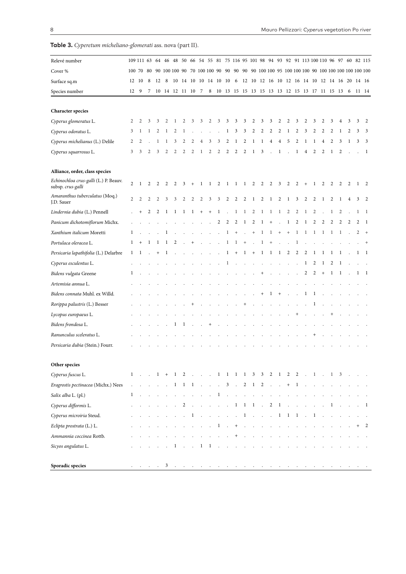**Table 3.** *Cyperetum micheliano-glomerati* ass. nova (part II).

|              |                | 8                                             |         |    |        |                         |              |     |                  |                      |                |                                  |                 |                        |              |        |                  |                                  |                                                                     |                                                                                                                       |                  |        |         |              |                     |    |                                                                                                                                                                                                                                                                                                                                    |
|--------------|----------------|-----------------------------------------------|---------|----|--------|-------------------------|--------------|-----|------------------|----------------------|----------------|----------------------------------|-----------------|------------------------|--------------|--------|------------------|----------------------------------|---------------------------------------------------------------------|-----------------------------------------------------------------------------------------------------------------------|------------------|--------|---------|--------------|---------------------|----|------------------------------------------------------------------------------------------------------------------------------------------------------------------------------------------------------------------------------------------------------------------------------------------------------------------------------------|
|              |                | 7                                             |         |    |        |                         |              |     |                  |                      |                |                                  |                 |                        |              |        |                  |                                  |                                                                     |                                                                                                                       |                  |        |         |              |                     |    |                                                                                                                                                                                                                                                                                                                                    |
|              |                |                                               |         |    |        |                         |              |     |                  |                      |                |                                  |                 |                        |              |        |                  |                                  |                                                                     |                                                                                                                       |                  |        |         |              |                     |    |                                                                                                                                                                                                                                                                                                                                    |
| 2            | 2              | 3                                             | 3       | 2  | -1     | 2                       | 3            | 3   | 2                | 3                    | 3              | 3                                | 3               | 2                      | 3            | 3      | 2                | 2                                | 3                                                                   | 2                                                                                                                     | 3                | 2      | 3       |              | 3                   | 3  | 2                                                                                                                                                                                                                                                                                                                                  |
| 3            | -1             | 1                                             | 2       |    | 2      | 1                       |              |     |                  |                      | 1              | 3                                | 3               | 2                      | 2            | 2      | 2                |                                  | 2                                                                   | 3                                                                                                                     | 2                | 2      | 2       |              |                     | 3  | 3                                                                                                                                                                                                                                                                                                                                  |
| 2            | 2              |                                               | 1       | 1  | 3      | 2                       | 2            | 4   | 3                | 3                    | 2              | -1                               | 2               | 1                      | 1            | 4      | 4                | 5                                | 2                                                                   | 1                                                                                                                     | 1                | 4      | 2       | 3            | 1                   | 3  | 3                                                                                                                                                                                                                                                                                                                                  |
| 3            | 3              | 2                                             | 3       | 2  | 2      | 2                       | 2            | 1   | 2                | 2                    | 2              | 2                                | 2               | 1                      | 3            |        | 1                |                                  | 1                                                                   | 4                                                                                                                     | 2                | 2      | 1       | 2            |                     |    | -1                                                                                                                                                                                                                                                                                                                                 |
|              |                |                                               |         |    |        |                         |              |     |                  |                      |                |                                  |                 |                        |              |        |                  |                                  |                                                                     |                                                                                                                       |                  |        |         |              |                     |    |                                                                                                                                                                                                                                                                                                                                    |
| 2            | -1             | 2                                             | 2       | 2  | 2      | 3                       | $^{+}$       | 1   | 1                | 2                    | 1              | -1                               | 1               | 2                      | 2            | 2      | 3                | 2                                | 2                                                                   | $\ddot{}$                                                                                                             | 1                | 2      | 2       | 2            | 2                   |    |                                                                                                                                                                                                                                                                                                                                    |
| 2            | $\overline{c}$ | 2                                             | 2       | 3  | 3      | 2                       | 2            | 2   | 3                | 3                    | 2              | 2                                | 2               | 1                      | 2            | 1      | 2                | 1                                | 3                                                                   | 2                                                                                                                     | 2                | 1      | 2       | 1            | 4                   | 3  | -2                                                                                                                                                                                                                                                                                                                                 |
|              |                | 2                                             | 2       | 1  | -1     | 1                       | $\mathbf{1}$ | $+$ | $+$              | 1                    |                | 1                                | 1               | 2                      | 1            | 1      | 1                | 2                                | 2                                                                   | 1                                                                                                                     | 2                |        | 1       | 2            |                     | 1  | -1                                                                                                                                                                                                                                                                                                                                 |
|              |                |                                               |         |    |        |                         |              |     |                  | 2                    | $\overline{2}$ | 2                                | 1               | 2                      | 1            | $\pm$  |                  | 1                                | 2                                                                   |                                                                                                                       | 2                | 2      | 2       | 2            |                     | 2  | -1                                                                                                                                                                                                                                                                                                                                 |
| 1            |                |                                               |         | 1  |        |                         |              |     |                  |                      | $\mathbf{1}$   | $\begin{array}{c} + \end{array}$ |                 | $^{+}$                 | $\mathbf{1}$ | 1      | $\! + \!\!\!\!$  | $\begin{array}{c} + \end{array}$ | $\mathbf{1}$                                                        | 1                                                                                                                     | 1                | 1      | 1       | $\mathbf{1}$ |                     | 2  |                                                                                                                                                                                                                                                                                                                                    |
| 1            | $^{+}$         | $\perp$                                       | $\perp$ | 1  | 2      |                         | $^{+}$       |     | $\epsilon$       | $\ddot{\phantom{a}}$ | $\mathbf{1}$   |                                  | $^{+}$          |                        | $\mathbf{1}$ | $^{+}$ |                  |                                  | 1                                                                   |                                                                                                                       |                  |        |         |              |                     |    | $^{+}$                                                                                                                                                                                                                                                                                                                             |
| 1            | $\perp$        |                                               |         |    |        |                         |              |     |                  |                      | 1              | $^{+}$                           | 1               | $^{+}$                 | 1            | 1      | 1                | 2                                | 2                                                                   | 2                                                                                                                     | 1                | -1     | 1       | $\perp$      |                     |    | -1                                                                                                                                                                                                                                                                                                                                 |
|              |                |                                               |         |    |        |                         |              |     |                  |                      | $\perp$        |                                  |                 |                        |              |        |                  |                                  |                                                                     | 1                                                                                                                     | 2                | -1     | 2       | -1           |                     |    |                                                                                                                                                                                                                                                                                                                                    |
| 1            |                |                                               |         |    |        |                         |              |     |                  |                      |                |                                  |                 |                        |              |        |                  |                                  |                                                                     | 2                                                                                                                     | $\overline{c}$   | $^{+}$ | 1       | 1            |                     | -1 | $\perp$                                                                                                                                                                                                                                                                                                                            |
|              |                |                                               |         |    |        |                         |              |     |                  |                      |                |                                  |                 |                        |              |        |                  |                                  |                                                                     |                                                                                                                       |                  |        |         |              |                     |    |                                                                                                                                                                                                                                                                                                                                    |
|              |                |                                               |         |    |        |                         |              |     |                  |                      |                |                                  |                 |                        |              |        |                  |                                  |                                                                     | 1                                                                                                                     | 1                |        |         |              |                     |    |                                                                                                                                                                                                                                                                                                                                    |
|              |                |                                               |         |    |        |                         |              |     |                  |                      |                |                                  |                 |                        |              |        |                  |                                  |                                                                     |                                                                                                                       | 1                |        |         |              |                     |    |                                                                                                                                                                                                                                                                                                                                    |
|              |                |                                               |         |    |        |                         |              |     |                  |                      |                |                                  |                 |                        |              |        |                  |                                  |                                                                     |                                                                                                                       |                  |        |         |              |                     |    |                                                                                                                                                                                                                                                                                                                                    |
|              |                |                                               |         |    | 1      | $\mathbf{I}$            |              |     | $^{+}$           |                      |                |                                  |                 |                        |              |        |                  |                                  |                                                                     |                                                                                                                       |                  |        |         |              |                     |    |                                                                                                                                                                                                                                                                                                                                    |
|              |                |                                               |         |    |        |                         |              |     |                  |                      |                |                                  |                 |                        |              |        |                  |                                  |                                                                     |                                                                                                                       |                  |        |         |              |                     |    |                                                                                                                                                                                                                                                                                                                                    |
|              |                |                                               |         |    |        |                         |              |     |                  |                      |                |                                  |                 |                        |              |        |                  |                                  |                                                                     |                                                                                                                       |                  |        |         |              |                     |    |                                                                                                                                                                                                                                                                                                                                    |
|              |                |                                               |         |    |        |                         |              |     |                  |                      |                |                                  |                 |                        |              |        |                  |                                  |                                                                     |                                                                                                                       |                  |        |         |              |                     |    |                                                                                                                                                                                                                                                                                                                                    |
|              |                |                                               |         |    |        |                         |              |     |                  |                      |                |                                  |                 |                        |              |        |                  |                                  |                                                                     |                                                                                                                       |                  |        |         |              |                     |    |                                                                                                                                                                                                                                                                                                                                    |
|              |                |                                               |         |    |        |                         |              |     |                  |                      |                |                                  |                 |                        |              |        |                  |                                  |                                                                     |                                                                                                                       |                  |        |         |              |                     |    |                                                                                                                                                                                                                                                                                                                                    |
| $\mathbf{1}$ |                |                                               |         |    |        |                         |              |     |                  |                      |                |                                  |                 |                        |              |        |                  |                                  |                                                                     |                                                                                                                       |                  |        |         |              |                     |    |                                                                                                                                                                                                                                                                                                                                    |
|              |                |                                               |         |    |        | $\overline{\mathbf{c}}$ | $\sim$       |     |                  |                      |                |                                  |                 |                        |              | 2      |                  |                                  |                                                                     |                                                                                                                       |                  |        | 1       |              |                     |    | $\mathbf{1}$                                                                                                                                                                                                                                                                                                                       |
|              |                |                                               |         |    |        | $\ddot{\phantom{a}}$    | $\mathbf{1}$ |     |                  |                      |                |                                  |                 |                        |              |        |                  |                                  |                                                                     |                                                                                                                       | $\mathbf{1}$     |        | $\cdot$ |              |                     |    |                                                                                                                                                                                                                                                                                                                                    |
|              |                |                                               |         |    |        |                         |              |     |                  |                      |                |                                  |                 |                        |              |        |                  |                                  |                                                                     |                                                                                                                       |                  |        |         |              |                     |    | 2                                                                                                                                                                                                                                                                                                                                  |
|              |                |                                               |         |    |        |                         |              |     |                  |                      |                |                                  |                 |                        |              |        |                  |                                  |                                                                     |                                                                                                                       |                  |        |         |              |                     |    |                                                                                                                                                                                                                                                                                                                                    |
|              |                |                                               |         |    | 1      |                         |              | 1   |                  |                      |                |                                  |                 |                        |              |        |                  |                                  |                                                                     |                                                                                                                       |                  |        |         |              |                     |    |                                                                                                                                                                                                                                                                                                                                    |
|              |                | $\sim$                                        |         | 3  | $\sim$ |                         |              |     |                  |                      |                |                                  |                 |                        |              |        |                  |                                  |                                                                     |                                                                                                                       |                  |        |         |              |                     |    |                                                                                                                                                                                                                                                                                                                                    |
|              |                | 12 10<br>12 9<br>$\mathcal{L}^{\text{max}}$ . | $\sim$  | 12 | - 8    |                         |              |     | 10 14 12 11 10 7 | $\mathbf{1}$         | $\cdot$ 1      |                                  | <b>Contract</b> | $\mathbf{1}$<br>$\sim$ |              |        | $\cdots$ 1 1 1 . | $\overline{1}$                   | $1$ , $1 + 1$ , $2$ , $1$ , $1$ , $1$ , $1$ , $3$ , $3$ , $2$ , $1$ | $1 1 1  3 .2 1 2  + 1$<br>$\ldots$ 1 1 1 1<br>$\sim$ 1 and $\sim$ 1 and $\sim$ 1 and $\sim$ 1 and $\sim$ 1 and $\sim$ | $\sim$<br>$\sim$ |        |         |              | $2 \t2 \t1 \t1 \t3$ |    | 109 111 63 64 46 48 50 66 54 55 81 75 116 95 101 98 94 93 92 91 113 100 110 96 97 60 82 115<br>100 70 80 90 100 100 90 70 100 100 90 90 90 90 90 90 100 100 95 100 100 90 100 100 100 100 100 100<br>10 14 10 10 14 10 10 6 12 10 12 16 10 12 16 14 10 12 14 16 20 14 16<br>8 10 13 15 15 13 15 13 13 12 15 13 17 11 15 13 6 11 14 |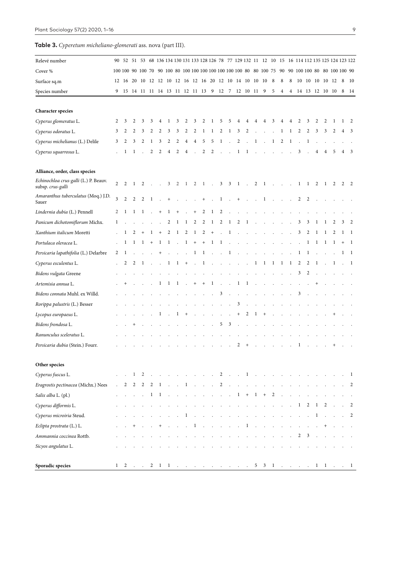**Table 3.** *Cyperetum micheliano-glomerati* ass. nova (part III).

| Relevé number                                              |                         |                           |                |                          |                      |                                  |                      |                      |                | 90 52 51 53 68 136 134 130 131 133 128 126 78 77 129 132 11 12 10 15 16 114 112 135 125 124 123 122 |                              |                      |                                          |                      |              |                      |                      |                                                                                             |              |                      |              |                   |             |                  |                      |         |        |                      |
|------------------------------------------------------------|-------------------------|---------------------------|----------------|--------------------------|----------------------|----------------------------------|----------------------|----------------------|----------------|-----------------------------------------------------------------------------------------------------|------------------------------|----------------------|------------------------------------------|----------------------|--------------|----------------------|----------------------|---------------------------------------------------------------------------------------------|--------------|----------------------|--------------|-------------------|-------------|------------------|----------------------|---------|--------|----------------------|
| Cover %                                                    |                         |                           |                |                          |                      |                                  |                      |                      |                | 100 100 90 100 70 90 100 80 100 100 100 100 100 100 100 80 80 100 75 90 90 100 100 80 80 100 100 90 |                              |                      |                                          |                      |              |                      |                      |                                                                                             |              |                      |              |                   |             |                  |                      |         |        |                      |
|                                                            |                         |                           |                |                          |                      |                                  |                      |                      |                | 12 16 20 10 12 12 10 12 16 12 16 20 12 10 14 10 10 10                                               |                              |                      |                                          |                      |              |                      |                      |                                                                                             | 8            | 8                    | 8            |                   |             | 10 10 10 10 12   |                      |         | 8      | - 10                 |
| Surface sq.m<br>Species number                             |                         |                           |                |                          |                      |                                  |                      |                      |                | 9 15 14 11 11 14 13 11 12 11 13 9 12 7 12 10 11 9                                                   |                              |                      |                                          |                      |              |                      |                      |                                                                                             | 5            | $\overline{4}$       |              |                   |             | 4 14 13 12 10 10 |                      |         | 8      | - 14                 |
|                                                            |                         |                           |                |                          |                      |                                  |                      |                      |                |                                                                                                     |                              |                      |                                          |                      |              |                      |                      |                                                                                             |              |                      |              |                   |             |                  |                      |         |        |                      |
| <b>Character species</b>                                   |                         |                           |                |                          |                      |                                  |                      |                      |                |                                                                                                     |                              |                      |                                          |                      |              |                      |                      |                                                                                             |              |                      |              |                   |             |                  |                      |         |        |                      |
| Cyperus glomeratus L.                                      | 2                       | 3                         | 2              | 3                        | 3                    | 4                                | 1                    | 3                    | 2              | 3                                                                                                   | 2                            | 1                    | 5                                        | 5                    | 4            | 4                    | 4                    | 4                                                                                           | 3            | 4                    | 4            | 2                 | 3           | 2                | 2                    | 1       | 1      | 2                    |
| Cyperus odoratus L.                                        | 3                       | 2                         | 2              | 3                        | 2                    | 2                                | 3                    | 3                    | 2              | 2                                                                                                   | 1                            | 1                    | 2                                        | 1                    | 3            | 2                    |                      |                                                                                             |              | 1                    | 1            | 2                 | 2           | 3                | 3                    | 2       | 4      | 3                    |
| Cyperus michelianus (L.) Delile                            | 3                       | 2                         | 3              | 2                        | 1                    | 3                                | 2                    | 2                    | $\overline{4}$ | $\overline{4}$                                                                                      | 5                            | 5                    | $\mathbf{1}$                             |                      | 2            |                      | 1                    |                                                                                             | $\mathbf{1}$ | 2                    | 1            |                   | 1           |                  |                      |         |        |                      |
| Cyperus squarrosus L.                                      |                         | 1                         | 1              |                          | 2                    | 2                                | $\overline{4}$       | $\overline{2}$       | $\overline{4}$ |                                                                                                     | 2                            | 2                    |                                          |                      | 1            | 1                    |                      |                                                                                             |              |                      |              | 3                 |             | 4                | 4                    | 5       | 4      | 3                    |
| Alliance, order, class species                             |                         |                           |                |                          |                      |                                  |                      |                      |                |                                                                                                     |                              |                      |                                          |                      |              |                      |                      |                                                                                             |              |                      |              |                   |             |                  |                      |         |        |                      |
| Echinochloa crus-galli (L.) P. Beauv.<br>subsp. crus-galli | $\overline{c}$          | 2                         | -1             | 2                        |                      | $\sim$                           | 3                    | 2                    | $\mathbf{1}$   | 2                                                                                                   | $\mathbf{1}$                 | $\ddot{\phantom{a}}$ |                                          | $3 \quad 3 \quad 1$  |              | $\sim$ 10 $\pm$      | $\overline{2}$       | $1 \cdot$                                                                                   |              | $\sim 10$            |              | 1                 | 1           | 2                | 1                    | 2       | 2      | 2                    |
| Amaranthus tuberculatus (Moq.) J.D.<br>Sauer               | $\overline{\mathbf{3}}$ | $\overline{c}$            | $\overline{2}$ | 2                        | $\mathbf{1}$         |                                  | $^{+}$               |                      |                |                                                                                                     | $^{+}$                       |                      | 1                                        |                      | $^{+}$       |                      |                      | 1                                                                                           |              |                      |              | 2                 | 2           |                  |                      |         |        |                      |
| Lindernia dubia (L.) Pennell                               | 2                       | 1                         | 1              | $\mathbf{1}$             |                      | $\begin{array}{c} + \end{array}$ | 1                    | $^{+}$               |                | $^{+}$                                                                                              | 2                            | 1                    | 2                                        |                      |              |                      |                      |                                                                                             |              |                      |              |                   |             |                  |                      |         |        |                      |
| Panicum dichotomiflorum Michx.                             | 1                       |                           |                |                          |                      |                                  | 2                    | 1                    | 1              | 2                                                                                                   | 2                            | $\mathbf{1}$         | $\overline{c}$                           | $\mathbf{1}$         | 2            | 1                    |                      |                                                                                             |              |                      |              | 3                 | 3           |                  |                      | 2       | 3      | 2                    |
| Xanthium italicum Moretti                                  |                         | 1                         | 2              | $^{+}$                   | $\mathbf{1}$         | $^{+}$                           | 2                    | $\mathbf{1}$         | $\overline{2}$ | $\mathbf{1}$                                                                                        | 2                            | $+$                  | $\sim$                                   | $\mathbf{1}$         |              |                      |                      |                                                                                             |              |                      |              | 3                 | 2           | 1                |                      | 2       |        | -1                   |
| Portulaca oleracea L.                                      |                         | 1                         | -1             | $\mathbf{I}$             | $+$                  | $\mathbf{1}$                     | $\mathbf{1}$         | $\mathcal{A}$        | $\mathbf{1}$   | $+$                                                                                                 | $+$                          | $\mathbf{1}$         | $\mathbf{1}$                             | $\ddot{\phantom{a}}$ | $\mathbf{r}$ |                      |                      |                                                                                             |              |                      |              |                   | 1           | 1                | 1                    | 1       | $^{+}$ | -1                   |
| Persicaria lapathifolia (L.) Delarbre                      | 2                       | 1                         |                |                          |                      |                                  |                      |                      |                | 1                                                                                                   | 1                            | $\cdot$              |                                          | 1                    |              |                      |                      |                                                                                             |              |                      |              |                   | 1           |                  |                      |         |        |                      |
| Cyperus esculentus L.                                      |                         | 2                         | 2              | $\mathbf{I}$             |                      |                                  | 1                    | $\mathbf{1}$         | $+$            | $\sim$                                                                                              | $\mathbf{I}$                 | $\sim$               | $\sim$                                   | $\sim$               | $\sim$       | $\cdot$              | -1                   | -1                                                                                          | $\mathbf{I}$ | -1                   | 1            | $\overline{c}$    | 2           | 1                |                      | 1       |        | -1                   |
| Bidens vulgata Greene                                      |                         |                           |                |                          |                      |                                  |                      |                      |                |                                                                                                     |                              |                      |                                          |                      |              |                      |                      |                                                                                             |              |                      |              | 3                 | 2           |                  |                      |         |        |                      |
| Artemisia annua L.                                         |                         |                           |                |                          |                      | 1                                | $\mathbf{I}$         | $\mathbf{I}$         | $\cdot$        | $^{+}$                                                                                              | $+$                          | $\mathbf{1}$         | $\ddot{\phantom{a}}$                     | $\epsilon$           | 1            | $\mathbf{1}$         |                      |                                                                                             |              |                      |              |                   |             | $^+$             |                      |         |        |                      |
| Bidens connata Muhl. ex Willd.                             |                         |                           |                |                          |                      |                                  |                      |                      |                |                                                                                                     |                              |                      | 3                                        |                      |              |                      |                      |                                                                                             |              |                      |              | 3                 |             |                  |                      |         |        |                      |
| Rorippa palustris (L.) Besser                              |                         |                           |                |                          |                      |                                  |                      |                      |                |                                                                                                     |                              |                      |                                          | $\cdot$              | 3            | $\ddot{\phantom{a}}$ |                      |                                                                                             |              |                      |              |                   |             |                  |                      |         |        |                      |
| Lycopus europaeus L.                                       |                         |                           |                |                          |                      | 1                                |                      | 1                    | $^{+}$         |                                                                                                     |                              |                      | $\cdot$                                  |                      | $^{+}$       | $\overline{c}$       | $\mathbf{I}$         | $^{+}$                                                                                      |              |                      |              |                   |             |                  |                      |         |        |                      |
| Bidens frondosa L.                                         |                         |                           |                |                          |                      |                                  |                      |                      |                |                                                                                                     |                              |                      | 5                                        | 3                    |              |                      |                      |                                                                                             |              |                      |              |                   |             |                  |                      |         |        |                      |
| Ranunculus sceleratus L.                                   |                         |                           |                |                          |                      |                                  |                      |                      |                |                                                                                                     |                              |                      |                                          |                      |              |                      |                      |                                                                                             |              |                      |              |                   |             |                  |                      |         |        |                      |
| Persicaria dubia (Stein.) Fourr.                           |                         |                           |                |                          |                      |                                  |                      |                      |                |                                                                                                     |                              |                      |                                          |                      | 2            | $\overline{ }$       |                      |                                                                                             |              |                      |              |                   |             |                  |                      |         |        |                      |
| Other species                                              |                         |                           |                |                          |                      |                                  |                      |                      |                |                                                                                                     |                              |                      |                                          |                      |              |                      |                      |                                                                                             |              |                      |              |                   |             |                  |                      |         |        |                      |
| Cyperus fuscus L.                                          |                         | $\mathbf{r} = \mathbf{r}$ | $\mathbf{1}$   | $\overline{\phantom{a}}$ | $\sim$               | $\sim$ $\sim$                    | $\sim$ $\sim$        | $\sim$ .             | $\sim$         | $\sim$ .                                                                                            |                              |                      | $\cdots$ 2 $\cdots$ 1                    |                      |              |                      | $\sim$ $\sim$ $\sim$ |                                                                                             |              |                      |              |                   |             |                  |                      |         |        | $\mathbf{1}$         |
| Eragrostis pectinacea (Michx.) Nees                        | $\mathcal{L}^{\pm}$     | 2                         | 2              | $\overline{2}$           | $\overline{c}$       | $\overline{1}$                   | $\sim$ $\sim$        | $\ddot{\phantom{a}}$ |                | $1 \cdot \cdot \cdot \cdot 2 \cdot \cdot \cdot \cdot \cdot \cdot$                                   |                              |                      |                                          |                      |              |                      |                      |                                                                                             |              |                      |              | and the company's |             |                  |                      |         |        | $\overline{c}$       |
| Salix alba L. (pl.)                                        |                         |                           |                | $\sim$                   | $\mathbf{1}$         | $\overline{1}$                   |                      |                      |                |                                                                                                     | contract and an              |                      |                                          |                      |              |                      |                      | $1 + 1 + 2$                                                                                 |              | $\ddot{\phantom{a}}$ | $\cdot$      |                   |             |                  |                      |         |        |                      |
| Cyperus difformis L.                                       |                         |                           |                |                          |                      |                                  |                      |                      | $\sim$         | $\sim$                                                                                              |                              |                      | the contract of the contract of the con- |                      |              |                      |                      |                                                                                             | $\cdot$      | $\sim$               | $\epsilon$   | $\mathbf{1}$      | 2           | $\mathbf{1}$     | 2                    |         |        | 2                    |
| Cyperus microiria Steud.                                   |                         |                           |                |                          |                      |                                  | $\ddot{\phantom{a}}$ | $\sim$               | $\mathbf{1}$   | $\sim$                                                                                              | and the contract of the con- |                      |                                          | $\sim$ $\sim$        | $\cdot$      | $\sim$               | $\sim 100$           | the company of the company of                                                               |              |                      |              |                   |             | 1                | $\ddot{\phantom{a}}$ | $\cdot$ |        | 2                    |
| Eclipta prostrata (L.) L.                                  | $\epsilon$              |                           | $^{+}$         | $\sim$                   | $\ddot{\phantom{a}}$ | $^{+}$                           | $\sim$               | $\sim$ $\sim$        |                | and the company of the company of the                                                               |                              |                      |                                          |                      |              |                      |                      |                                                                                             |              |                      |              |                   |             |                  | $^{+}$               |         |        | $\ddot{\phantom{1}}$ |
| Ammannia coccinea Rottb.                                   |                         |                           |                |                          |                      |                                  |                      |                      |                |                                                                                                     |                              |                      |                                          |                      |              |                      |                      |                                                                                             |              |                      | $\mathbf{r}$ |                   | $2 \quad 3$ |                  |                      |         |        |                      |
| Sicyos angulatus L.                                        |                         |                           |                |                          |                      |                                  |                      |                      |                |                                                                                                     |                              |                      |                                          |                      |              |                      |                      |                                                                                             |              |                      |              |                   |             |                  |                      |         |        |                      |
| Sporadic species                                           | $\mathbf{1}$            | 2.                        |                |                          |                      |                                  |                      |                      |                | $2 \quad 1 \quad 1 \quad . \qquad . \qquad . \qquad . \qquad . \qquad . \qquad . \qquad .$          |                              |                      |                                          |                      |              |                      |                      | $5 \quad 3 \quad 1 \quad . \quad . \quad . \quad . \quad 1 \quad 1 \quad . \quad . \quad 1$ |              |                      |              |                   |             |                  |                      |         |        |                      |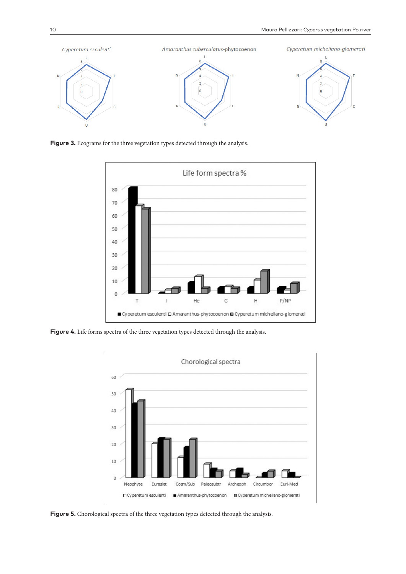

Figure 3. Ecograms for the three vegetation types detected through the analysis.



Figure 4. Life forms spectra of the three vegetation types detected through the analysis.



Figure 5. Chorological spectra of the three vegetation types detected through the analysis.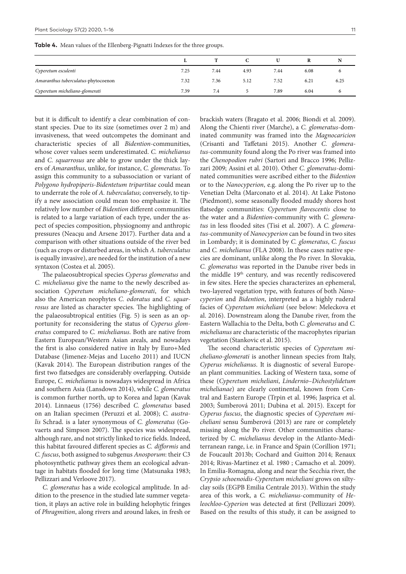**Table 4.** Mean values of the Ellenberg-Pignatti Indexes for the three groups.

|                                     |      |      |      |      |      | N    |
|-------------------------------------|------|------|------|------|------|------|
| Cyperetum esculenti                 | 7.25 | 7.44 | 4.93 | 7.44 | 6.08 |      |
| Amaranthus tuberculatus-phytocoenon | 7.32 | 7.36 | 5.12 | 7.52 | 6.21 | 6.25 |
| Cyperetum micheliano-glomerati      | 7.39 | 7.4  |      | 7.89 | 6.04 | O    |

but it is difficult to identify a clear combination of constant species. Due to its size (sometimes over 2 m) and invasiveness, that weed outcompetes the dominant and characteristic species of all *Bidention*-communities, whose cover values seem underestimated. *C. michelianus* and *C. squarrosus* are able to grow under the thick layers of *Amaranthus*, unlike, for instance, *C. glomeratus*. To assign this community to a subassociation or variant of *Polygono hydropiperis-Bidentetum tripartitae* could mean to underrate the role of *A. tuberculatus*; conversely, to tipify a new association could mean too emphasize it. The relatively low number of *Bidention* different communities is related to a large variation of each type, under the aspect of species composition, physiognomy and anthropic pressures (Neacşu and Arsene 2017). Further data and a comparison with other situations outside of the river bed (such as crops or disturbed areas, in which *A. tuberculatus* is equally invasive), are needed for the institution of a new syntaxon (Costea et al. 2005).

The palaeosubtropical species *Cyperus glomeratus* and *C. michelianus* give the name to the newly described association *Cyperetum micheliano-glomerati*, for which also the American neophytes *C. odoratus* and *C. squarrosus* are listed as character species. The highlighting of the palaeosubtropical entities (Fig. 5) is seen as an opportunity for reconsidering the status of *Cyperus glomeratus* compared to *C. michelianus*. Both are native from Eastern European/Western Asian areals, and nowadays the first is also considered native in Italy by Euro+Med Database (Jimenez-Mejas and Luceño 2011) and IUCN (Kavak 2014). The European distribution ranges of the first two flatsedges are considerably overlapping. Outside Europe, *C. michelianus* is nowadays widespread in Africa and southern Asia (Lansdown 2014), while *C. glomeratus* is common further north, up to Korea and Japan (Kavak 2014). Linnaeus (1756) described *C. glomeratus* based on an Italian specimen (Peruzzi et al. 2008); *C. australis* Schrad. is a later synonymous of *C. glomeratus* (Govaerts and Simpson 2007). The species was widespread, although rare, and not strictly linked to rice fields. Indeed, this habitat favoured different species as *C. difformis* and *C. fuscus*, both assigned to subgenus *Anosporum*: their C3 photosynthetic pathway gives them an ecological advantage in habitats flooded for long time (Matsunaka 1983; Pellizzari and Verloove 2017).

*C. glomeratus* has a wide ecological amplitude. In addition to the presence in the studied late summer vegetation, it plays an active role in building helophytic fringes of *Phragmition*, along rivers and around lakes, in fresh or

brackish waters (Bragato et al. 2006; Biondi et al. 2009). Along the Chienti river (Marche), a *C. glomeratus*-dominated community was framed into the *Magnocaricion* (Crisanti and Taffetani 2015). Another *C. glomeratus*-community found along the Po river was framed into the *Chenopodion rubri* (Sartori and Bracco 1996; Pellizzari 2009; Assini et al. 2010). Other *C. glomeratus*-dominated communities were ascribed either to the *Bidention* or to the *Nanocyperion*, e.g. along the Po river up to the Venetian Delta (Marconato et al. 2014). At Lake Pistono (Piedmont), some seasonally flooded muddy shores host flatsedge communities: *Cyperetum flavescentis* close to the water and a *Bidention*-community with *C. glomeratus* in less flooded sites (Tisi et al. 2007). A *C. glomeratus*-community of *Nanocyperion* can be found in two sites in Lombardy; it is dominated by *C. glomeratus*, *C. fuscus*  and *C. michelianus* (FLA 2008). In these cases native species are dominant, unlike along the Po river. In Slovakia, *C. glomeratus* was reported in the Danube river beds in the middle 19<sup>th</sup> century, and was recently rediscovered in few sites. Here the species characterizes an ephemeral, two-layered vegetation type, with features of both *Nanocyperion* and *Bidention*, interpreted as a highly ruderal facies of *Cyperetum micheliani* (see below: Meleckova et al. 2016). Downstream along the Danube river, from the Eastern Wallachia to the Delta, both *C. glomeratus* and *C. michelianus* are characteristic of the macrophytes riparian vegetation (Stankovic et al. 2015).

The second characteristic species of *Cyperetum micheliano-glomerati* is another linnean species from Italy, *Cyperus michelianus*. It is diagnostic of several European plant communities. Lacking of Western taxa, some of these (*Cyperetum micheliani*, *Lindernio–Dichostylidetum michelianae*) are clearly continental, known from Central and Eastern Europe (Trpin et al. 1996; Jasprica et al. 2003; Šumberová 2011; Dubina et al. 2015). Except for *Cyperus fuscus*, the diagnostic species of *Cyperetum micheliani* sensu Šumberová (2013) are rare or completely missing along the Po river. Other communities characterized by *C. michelianus* develop in the Atlanto-Mediterranean range, i.e. in France and Spain (Corillion 1971; de Foucault 2013b; Cochard and Guitton 2014; Renaux 2014; Rivas-Martinez et al. 1980 ; Camacho et al. 2009). In Emilia-Romagna, along and near the Secchia river, the *Crypsio schoenoidis*-*Cyperetum micheliani* grows on siltyclay soils (EGPB Emilia Centrale 2013). Within the study area of this work, a *C. michelianus*-community of *Heleochloo-Cyperion* was detected at first (Pellizzari 2009). Based on the results of this study, it can be assigned to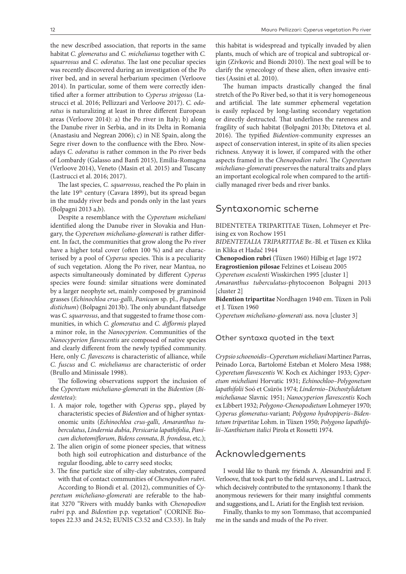the new described association, that reports in the same habitat *C. glomeratus* and *C. michelianus* together with *C. squarrosus* and *C. odoratus*. The last one peculiar species was recently discovered during an investigation of the Po river bed, and in several herbarium specimen (Verloove 2014). In particular, some of them were correctly identified after a former attribution to *Cyperus strigosus* (Lastrucci et al. 2016; Pellizzari and Verloove 2017). *C. odoratus* is naturalizing at least in three different European areas (Verloove 2014): a) the Po river in Italy; b) along the Danube river in Serbia, and in its Delta in Romania (Anastasiu and Negrean 2006); c) in NE Spain, along the Segre river down to the confluence with the Ebro. Nowadays *C. odoratus* is rather common in the Po river beds of Lombardy (Galasso and Banfi 2015), Emilia-Romagna (Verloove 2014), Veneto (Masin et al. 2015) and Tuscany (Lastrucci et al. 2016; 2017).

The last species, *C. squarrosus*, reached the Po plain in the late 19<sup>th</sup> century (Cavara 1899), but its spread began in the muddy river beds and ponds only in the last years (Bolpagni 2013 a,b).

Despite a resemblance with the *Cyperetum micheliani*  identified along the Danube river in Slovakia and Hungary, the *Cyperetum micheliano-glomerati* is rather different. In fact, the communities that grow along the Po river have a higher total cover (often 100 %) and are characterised by a pool of *Cyperus* species. This is a peculiarity of such vegetation. Along the Po river, near Mantua, no aspects simultaneously dominated by different *Cyperus* species were found: similar situations were dominated by a larger neophyte set, mainly composed by graminoid grasses (*Echinochloa crus-galli*, *Panicum* sp. pl., *Paspalum distichum*) (Bolpagni 2013b). The only abundant flatsedge was *C. squarrosus*, and that suggested to frame those communities, in which *C. glomeratus* and *C. difformis* played a minor role, in the *Nanocyperion*. Communities of the *Nanocyperion flavescentis* are composed of native species and clearly different from the newly typified community. Here, only *C. flavescens* is characteristic of alliance, while *C. fuscus* and *C. michelianus* are characteristic of order (Brullo and Minissale 1998).

The following observations support the inclusion of the *Cyperetum micheliano-glomerati* in the *Bidention* (*Bidentetea*):

- 1. A major role, together with *Cyperus* spp., played by characteristic species of *Bidention* and of higher syntaxonomic units (*Echinochloa crus-galli*, *Amaranthus tuberculatus*, *Lindernia dubia*, *Persicaria lapathifolia*, *Panicum dichotomiflorum*, *Bidens connata*, *B. frondosa*, etc.);
- 2. The alien origin of some pioneer species, that witness both high soil eutrophication and disturbance of the regular flooding, able to carry seed stocks;
- 3. The fine particle size of silty-clay substrates, compared with that of contact communities of *Chenopodion rubri*. According to Biondi et al. (2012), communities of *Cy-*

*peretum micheliano-glomerati* are referable to the habitat 3270 "Rivers with muddy banks with *Chenopodion rubri* p.p. and *Bidention* p.p. vegetation" (CORINE Biotopes 22.33 and 24.52; EUNIS C3.52 and C3.53). In Italy this habitat is widespread and typically invaded by alien plants, much of which are of tropical and subtropical origin (Zivkovic and Biondi 2010). The next goal will be to clarify the synecology of these alien, often invasive entities (Assini et al. 2010).

The human impacts drastically changed the final stretch of the Po River bed, so that it is very homogeneous and artificial. The late summer ephemeral vegetation is easily replaced by long-lasting secondary vegetation or directly destructed. That underlines the rareness and fragility of such habitat (Bolpagni 2013b; Ditetova et al. 2016). The typified *Bidention*-community expresses an aspect of conservation interest, in spite of its alien species richness. Anyway it is lower, if compared with the other aspects framed in the *Chenopodion rubri*. The *Cyperetum micheliano-glomerati* preserves the natural traits and plays an important ecological role when compared to the artificially managed river beds and river banks.

# Syntaxonomic scheme

BIDENTETEA TRIPARTITAE Tüxen, Lohmeyer et Preising ex von Rochow 1951

*BIDENTETALIA TRIPARTITAE* Br.-Bl. et Tüxen ex Klika in Klika et Hadač 1944

**Chenopodion rubri** (Tüxen 1960) Hilbig et Jage 1972 **Eragrostienion pilosae** Felzines et Loiseau 2005

*Cyperetum esculenti* Wisskirchen 1995 [cluster 1] *Amaranthus tuberculatus-*phytocoenon Bolpagni 2013

[cluster 2]

**Bidention tripartitae** Nordhagen 1940 em. Tüxen in Poli et J. Tüxen 1960

*Cyperetum micheliano-glomerati* ass. nova [cluster 3]

#### Other syntaxa quoted in the text

*Crypsio schoenoidis–Cyperetum micheliani* Martinez Parras, Peinado Lorca, Bartolomé Esteban et Molero Mesa 1988; *Cyperetum flavescentis* W. Koch ex Aichinger 1933; *Cyperetum micheliani* Horvatic 1931; *Echinochloo–Polygonetum lapathifolii* Soó et Csürös 1974; *Lindernio–Dichostylidetum michelianae* Slavnic 1951; *Nanocyperion flavescentis* Koch ex Libbert 1932; *Polygono-Chenopodietum* Lohmeyer 1970; *Cyperus glomeratus*-variant; *Polygono hydropiperis–Bidentetum tripartitae* Lohm. in Tüxen 1950; *Polygono lapathifolii–Xanthietum italici* Pirola et Rossetti 1974.

# Acknowledgements

I would like to thank my friends A. Alessandrini and F. Verloove, that took part to the field surveys, and L. Lastrucci, which decisively contributed to the syntaxonomy. I thank the anonymous reviewers for their many insightful comments and suggestions, and L. Ariati for the English text revision.

Finally, thanks to my son Tommaso, that accompanied me in the sands and muds of the Po river.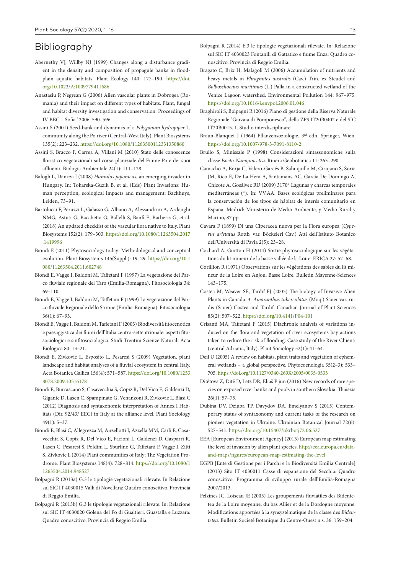# Bibliography

- Abernethy VJ, Willby NJ (1999) Changes along a disturbance gradient in the density and composition of propagule banks in floodplain aquatic habitats. Plant Ecology 140: 177–190. [https://doi.](https://doi.org/10.1023/A:1009779411686) [org/10.1023/A:1009779411686](https://doi.org/10.1023/A:1009779411686)
- Anastasiu P, Negrean G (2006) Alien vascular plants in Dobrogea (Romania) and their impact on different types of habitats. Plant, fungal and habitat diversity investigation and conservation. Proceedings of IV BBC – Sofia ' 2006: 590–596.
- Assini S (2001) Seed-bank and dynamics of a *Polygonum hydropiper* L. community along the Po river (Central-West Italy). Plant Biosystems 135(2): 223–232. <https://doi.org/10.1080/11263500112331350860>
- Assini S, Bracco F, Carrea A, Villani M (2010) Stato delle conoscenze floristico-vegetazionali sul corso planiziale del Fiume Po e dei suoi affluenti. Biologia Ambientale 24(1): 111–128.
- Balogh L, Dancza I (2008) *Humulus japonicus*, an emerging invader in Hungary. In: Tokarska-Guzik B, et al. (Eds) Plant Invasions: Human perception, ecological impacts and management: Backhuys, Leiden, 73–91.
- Bartolucci F, Peruzzi L, Galasso G, Albano A, Alessandrini A, Ardenghi NMG, Astuti G, Bacchetta G, Ballelli S, Banfi E, Barberis G, et al. (2018) An updated checklist of the vascular flora native to Italy. Plant Biosystems 152(2): 179–303. [https://doi.org/10.1080/11263504.2017](https://doi.org/10.1080/11263504.2017.1419996) [.1419996](https://doi.org/10.1080/11263504.2017.1419996)
- Biondi E (2011) Phytosociology today: Methodological and conceptual evolution. Plant Biosystems 145(Suppl.): 19–29. [https://doi.org/10.1](https://doi.org/10.1080/11263504.2011.602748) [080/11263504.2011.602748](https://doi.org/10.1080/11263504.2011.602748)
- Biondi E, Vagge I, Baldoni M, Taffetani F (1997) La vegetazione del Parco fluviale regionale del Taro (Emilia-Romagna). Fitosociologia 34: 69–110.
- Biondi E, Vagge I, Baldoni M, Taffetani F (1999) La vegetazione del Parco fluviale Regionale dello Stirone (Emilia-Romagna). Fitosociologia 36(1): 67–93.
- Biondi E, Vagge I, Baldoni M, Taffetani F (2003) Biodiversità fitocenotica e paesaggistica dei fiumi dell'Italia centro-settentrionale: aspetti fitosociologici e sinfitosociologici. Studi Trentini Scienze Naturali Acta Biologica 80: 13–21.
- Biondi E, Zivkovic L, Esposito L, Pesaresi S (2009) Vegetation, plant landscape and habitat analyses of a fluvial ecosystem in central Italy. Acta Botanica Gallica 156(4): 571–587. [https://doi.org/10.1080/1253](https://doi.org/10.1080/12538078.2009.10516178) [8078.2009.10516178](https://doi.org/10.1080/12538078.2009.10516178)
- Biondi E, Burrascano S, Casavecchia S, Copiz R, Del Vico E, Galdenzi D, Gigante D, Lasen C, Spampinato G, Venanzoni R, Zivkovic L, Blasi C (2012) Diagnosis and syntaxonomic interpretation of Annex I Habitats (Dir. 92/43/ EEC) in Italy at the alliance level. Plant Sociology 49(1): 5–37.
- Biondi E, Blasi C, Allegrezza M, Anzellotti I, Azzella MM, Carli E, Casavecchia S, Copiz R, Del Vico E, Facioni L, Galdenzi D, Gasparri R, Lasen C, Pesaresi S, Poldini L, Sburlino G, Taffetani F, Vagge I, Zitti S, Zivkovic L (2014) Plant communities of Italy: The Vegetation Prodrome. Plant Biosystems 148(4): 728–814. [https://doi.org/10.1080/1](https://doi.org/10.1080/11263504.2014.948527) [1263504.2014.948527](https://doi.org/10.1080/11263504.2014.948527)
- Bolpagni R (2013a) G.3 le tipologie vegetazionali rilevate. In Relazione sul SIC IT 4030015 Valli di Novellara: Quadro conoscitivo. Provincia di Reggio Emilia.
- Bolpagni R (2013b) G.3 le tipologie vegetazionali rilevate. In: Relazione sul SIC IT 4030020 Golena del Po di Gualtieri, Guastalla e Luzzara: Quadro conoscitivo. Provincia di Reggio Emilia.
- Bolpagni R (2014) E.3 le tipologie vegetazionali rilevate. In: Relazione sul SIC IT 4030023 Fontanili di Gattatico e fiume Enza: Quadro conoscitivo. Provincia di Reggio Emilia.
- Bragato C, Brix H, Malagoli M (2006) Accumulation of nutrients and heavy metals in *Phragmites australis* (Cav.) Trin. ex Steudel and *Bolboschoenus maritimus* (L.) Palla in a constructed wetland of the Venice Lagoon watershed. Environmental Pollution 144: 967–975. <https://doi.org/10.1016/j.envpol.2006.01.046>
- Braghiroli S, Bolpagni R (2016) Piano di gestione della Riserva Naturale Regionale "Garzaia di Pomponesco", della ZPS IT20B0402 e del SIC IT20B0015. 1. Studio interdisciplinare.
- Braun-Blanquet J (1964) Pflanzensoziologie. 3<sup>rd</sup> edn. Springer, Wien. <https://doi.org/10.1007/978-3-7091-8110-2>
- Brullo S, Minissale P (1998) Considerazioni sintassonomiche sulla classe *Isoeto-Nanojuncetea*. Itinera Geobotanica 11: 263–290.
- Camacho A, Borja C, Valero-Garcés B, Sahuquillo M, Cirujano S, Soria JM, Rico E, De La Hera A, Santamans AC, García De Domingo A, Chicote A, Gosálvez RU (2009) 3170\* Lagunas y charcas temporales mediterráneas (\*). In: VV.AA. Bases ecológicas preliminares para la conservación de los tipos de hábitat de interés comunitario en España. Madrid: Ministerio de Medio Ambiente, y Medio Rural y Marino, 87 pp.
- Cavara F (1899) Di una Ciperacea nuova per la Flora europea (*Cyperus aristatus* Rottb. var. Böckeleri Cav.) Atti dell'Istituto Botanico dell'Università di Pavia 2(5): 23–28.
- Cochard A, Guitton H (2014) Sortie phytosociologique sur les végétations du lit mineur de la basse vallée de la Loire. ERICA 27: 57–68.
- Corillion R (1971) Observations sur les végétations des sables du lit mineur de la Loire en Anjou, Basse Loire. Bulletin Mayenne-Sciences 143–175.
- Costea M, Weaver SE, Tardif FJ (2005) The biology of Invasive Alien Plants in Canada. 3. *Amaranthus tuberculatus* (Moq.) Sauer var. rudis (Sauer) Costea and Tardif. Canadian Journal of Plant Sciences 85(2): 507–522.<https://doi.org/10.4141/P04-101>
- Crisanti MA, Taffetani F (2015) Diachronic analysis of variations induced on the flora and vegetation of river ecosystems bay actions taken to reduce the risk of flooding. Case study of the River Chienti (central Adriatic, Italy). Plant Sociology 52(1): 41–64.
- Deil U (2005) A review on habitats, plant traits and vegetation of ephemeral wetlands – a global perspective. Phytocoenologia 35(2–3): 533– 705.<https://doi.org/10.1127/0340-269X/2005/0035-0533>
- Ditětova Z, Ditě D, Letz DR, Eliaš P jun (2016) New records of rare species on exposed river banks and pools in southern Slovakia. Thaiszia 26(1): 57–75.
- Dubina DV, Dziuba TP, Davydov DA, Emelyanov S (2015) Contemporary status of syntaxonomy and current tasks of the research on pioneer vegetation in Ukraine. Ukrainian Botanical Journal 72(6): 527–541. <https://doi.org/10.15407/ukrbotj72.06.527>
- EEA [European Environment Agency] (2015) European map estimating the level of invasion by alien plant species. [http://eea.europa.eu/data](http://eea.europa.eu/data-and-maps/figures/european-map-estimating-the-level)[and-maps/figures/european-map-estimating-the-level](http://eea.europa.eu/data-and-maps/figures/european-map-estimating-the-level)
- EGPB [Ente di Gestione per i Parchi e la Biodiversità Emilia Centrale] (2013) Sito IT 4030011 Casse di espansione del Secchia: Quadro conoscitivo. Programma di sviluppo rurale dell'Emilia-Romagna 2007/2013.
- Felzines JC, Loiseau JE (2005) Les groupements fluviatiles des Bidentetea de la Loire moyenne, du bas Allier et de la Dordogne moyenne. Modifications apportées à la synsystématique de la classe des *Bidentetea*. Bulletin Societé Botanique du Centre-Ouest n.s. 36: 159–204.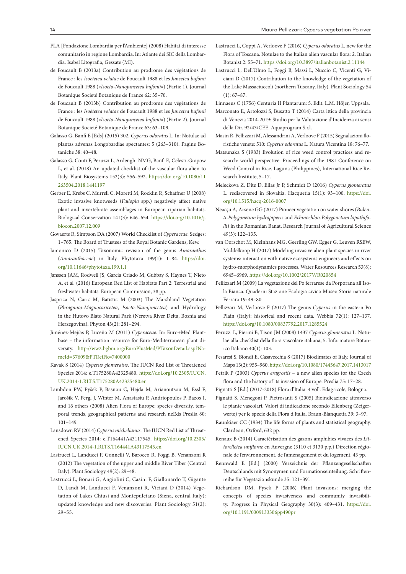- FLA [Fondazione Lombardia per l'Ambiente] (2008) Habitat di interesse comunitario in regione Lombardia. In: Atlante dei SIC della Lombardia. Isabel Litografia, Gessate (MI).
- de Foucault B (2013a) Contribution au prodrome des végétations de France : les *Isoëtetea velatae* de Foucault 1988 et les *Juncetea bufonii*  de Foucault 1988 («*Isoëto-Nanojuncetea bufonii*») (Partie 1). Journal Botanique Societé Botanique de France 62: 35–70.
- de Foucault B (2013b) Contribution au prodrome des végétations de France : les *Isoëtetea velatae* de Foucault 1988 et les *Juncetea bufonii*  de Foucault 1988 («*Isoëto-Nanojuncetea bufonii*») (Partie 2). Journal Botanique Societé Botanique de France 63: 63–109.
- Galasso G, Banfi E [Eds] (2015) 302. *Cyperus odoratus* L. In: Notulae ad plantas advenas Longobardiae spectantes: 5 (263–310). Pagine Botaniche 38: 40–48.
- Galasso G, Conti F, Peruzzi L, Ardenghi NMG, Banfi E, Celesti-Grapow L, et al. (2018) An updated checklist of the vascular flora alien to Italy. Plant Biosystems 152(3): 556–592. [https://doi.org/10.1080/11](https://doi.org/10.1080/11263504.2018.1441197) [263504.2018.1441197](https://doi.org/10.1080/11263504.2018.1441197)
- Gerber E, Krebs C, Murrell C, Moretti M, Rocklin R, Schaffner U (2008) Exotic invasive knotweeds (*Fallopia* spp.) negatively affect native plant and invertebrate assemblages in European riparian habitats. Biological Conservation 141(3): 646–654. [https://doi.org/10.1016/j.](https://doi.org/10.1016/j.biocon.2007.12.009) [biocon.2007.12.009](https://doi.org/10.1016/j.biocon.2007.12.009)
- Govaerts R, Simpson DA (2007) World Checklist of *Cyperaceae*. Sedges: 1–765. The Board of Trustees of the Royal Botanic Gardens, Kew.
- Iamonico D (2015) Taxonomic revision of the genus *Amaranthus* (*Amaranthaceae*) in Italy. Phytotaxa 199(1): 1–84. [https://doi.](https://doi.org/10.11646/phytotaxa.199.1.1) [org/10.11646/phytotaxa.199.1.1](https://doi.org/10.11646/phytotaxa.199.1.1)
- Janssen JAM, Rodwell JS, Garcia Criado M, Gubbay S, Haynes T, Nieto A, et al. (2016) European Red List of Habitats Part 2: Terrestrial and freshwater habitats. European Commission, 38 pp.
- Jasprica N, Caric M, Batistic M (2003) The Marshland Vegetation (*Phragmito-Magnocaricetea*, *Isoeto-Nanojuncetea*) and Hydrology in the Hutovo Blato Natural Park (Neretva River Delta, Bosnia and Herzegovina). Phyton 43(2): 281–294.
- Jiménez-Mejías P, Luceño M (2011) *Cyperaceae*. In: Euro+Med Plantbase – the information resource for Euro-Mediterranean plant diversity. [http://ww2.bgbm.org/EuroPlusMed/PTaxonDetail.asp?Na](http://ww2.bgbm.org/EuroPlusMed/PTaxonDetail.asp?NameId=37609&PTRefFk=7400000)[meId=37609&PTRefFk=7400000](http://ww2.bgbm.org/EuroPlusMed/PTaxonDetail.asp?NameId=37609&PTRefFk=7400000)
- Kavak S (2014) *Cyperus glomeratus*. The IUCN Red List of Threatened Species 2014: e.T175280A42325480. [https://doi.org/10.2305/IUCN.](https://doi.org/10.2305/IUCN.UK.2014-1.RLTS.T175280A42325480.en) [UK.2014-1.RLTS.T175280A42325480.en](https://doi.org/10.2305/IUCN.UK.2014-1.RLTS.T175280A42325480.en)
- Lambdon PW, Pyšek P, Basnou C, Hejda M, Arianoutsou M, Essl F, Jarošik V, Pergl J, Winter M, Anastasiu P, Andriopoulos P, Bazos I, and 16 others (2008) Alien Flora of Europe: species diversity, temporal trends, geographical patterns and research neEds Preslia 80: 101–149.
- Lansdown RV (2014) *Cyperus michelianus*. The IUCN Red List of Threatened Species 2014: e.T164441A43117545. [https://doi.org/10.2305/](https://doi.org/10.2305/IUCN.UK.2014-1.RLTS.T164441A43117545.en) [IUCN.UK.2014-1.RLTS.T164441A43117545.en](https://doi.org/10.2305/IUCN.UK.2014-1.RLTS.T164441A43117545.en)
- Lastrucci L, Landucci F, Gonnelli V, Barocco R, Foggi B, Venanzoni R (2012) The vegetation of the upper and middle River Tiber (Central Italy). Plant Sociology 49(2): 29–48.
- Lastrucci L, Bonari G, Angiolini C, Casini F, Giallonardo T, Gigante D, Landi M, Landucci F, Venanzoni R, Viciani D (2014) Vegetation of Lakes Chiusi and Montepulciano (Siena, central Italy): updated knowledge and new discoveries. Plant Sociology 51(2): 29–55.
- Lastrucci L, Coppi A, Verloove F (2016) *Cyperus odoratus* L. new for the Flora of Toscana. Notulae to the Italian alien vascular flora: 2. Italian Botanist 2: 55–71.<https://doi.org/10.3897/italianbotanist.2.11144>
- Lastrucci L, Dell'Olmo L, Foggi B, Massi L, Nuccio C, Vicenti G, Viciani D (2017) Contribution to the knowledge of the vegetation of the Lake Massaciuccoli (northern Tuscany, Italy). Plant Sociology 54  $(1): 67-87$
- Linnaeus C (1756) Centuria II Plantarum: 5. Edit. L.M. Höjer, Uppsala.
- Marconato E, Artolozzi S, Busatto T (2014) Carta ittica della provincia di Venezia 2014-2019: Studio per la Valutazione d'Incidenza ai sensi della Dir. 92/43/CEE. Aquaprogram S.r.l.
- Masin R, Pellizzari M, Alessandrini A, Verloove F (2015) Segnalazioni floristiche venete: 510: *Cyperus odoratus* L. Natura Vicentina 18: 76–77.
- Matsunaka S (1983) Evolution of rice weed control practices and research: world perspective. Proceedings of the 1981 Conference on Weed Control in Rice. Laguna (Philippines), International Rice Research Institute, 5–17.
- Meleckova Z, Dite D, Elias Jr P, Schmidt D (2016) *Cyperus glomeratus* L. rediscovered in Slovakia. Hacquetia 15(1): 93–100. [https://doi.](https://doi.org/10.1515/hacq-2016-0007) [org/10.1515/hacq-2016-0007](https://doi.org/10.1515/hacq-2016-0007)
- Neacşu A, Arsene GG (2017) Pioneer vegetation on water shores (*Bidenti-Polygonetum hydropiperis* and *Echinochloo-Polygonetum lapathifolii*) in the Romanian Banat. Research Journal of Agricultural Science 49(3): 122–135.
- van Oorschot M, Kleinhans MG, Geerling GW, Egger G, Leuven RSEW, Middelkoop H (2017) Modeling invasive alien plant species in river systems: interaction with native ecosystems engineers and effects on hydro-morphodynamics processes. Water Resources Research 53(8): 6945–6969. <https://doi.org/10.1002/2017WR020854>
- Pellizzari M (2009) La vegetazione del Po ferrarese da Porporana all'Isola Bianca. Quaderni Stazione Ecologia civico Museo Storia naturale Ferrara 19: 49–80.
- Pellizzari M, Verloove F (2017) The genus *Cyperus* in the eastern Po Plain (Italy): historical and recent data. Webbia 72(1): 127–137. <https://doi.org/10.1080/00837792.2017.1285524>
- Peruzzi L, Pierini B, Tison JM (2008) 1437 *Cyperus glomeratus* L. Notulae alla checklist della flora vascolare italiana, 5. Informatore Botanico Italiano 40(1): 103.
- Pesaresi S, Biondi E, Casavecchia S (2017) Bioclimates of Italy. Journal of Maps 13(2): 955–960. <https://doi.org/10.1080/17445647.2017.1413017>
- Petrik P (2003) *Cyperus eragrostis*  a new alien species for the Czech flora and the history of its invasion of Europe. Preslia 75: 17–28.
- Pignatti S [Ed.] (2017-2018) Flora d'Italia. 4 voll. Edagricole, Bologna.
- Pignatti S, Menegoni P, Pietrosanti S (2005) Bioindicazione attraverso le piante vascolari. Valori di indicazione secondo Ellenberg (Zeigerwerte) per le specie della Flora d'Italia. Braun-Blanquetia 39: 3–97.
- Raunkiaer CC (1934) The life forms of plants and statistical geography. Clardeon, Oxford, 632 pp.
- Renaux B (2014) Caractérisation des gazons amphibies vivaces des *Littorelletea uniflorae* en Auvergne (3110 et 3130 p.p.) Direction régionale de l'environnement, de l'aménagement et du logement, 43 pp.
- Rennwald E [Ed.] (2000) Verzeichnis der Pflanzengesellschaften Deutschlands mit Synonymen und Formationseinteilung. Schriftenreihe für Vegetazionskunde 35: 121–391.
- Richardson DM, Pysek P (2006) Plant invasions: merging the concepts of species invasiveness and community invasibility. Progress in Physical Geography 30(3): 409–431. [https://doi.](https://doi.org/10.1191/0309133306pp490pr) [org/10.1191/0309133306pp490pr](https://doi.org/10.1191/0309133306pp490pr)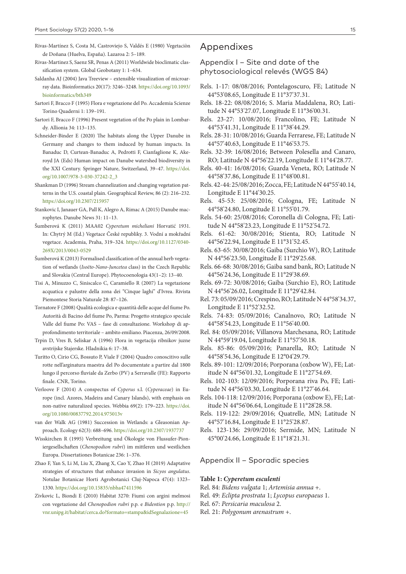- Rivas-Martínez S, Costa M, Castroviejo S, Valdés E (1980) Vegetaciòn de Doñana (Huelva, España). Lazaroa 2: 5–189.
- Rivas-Martinez S, Saenz SR, Penas A (2011) Worldwide bioclimatic classification system. Global Geobotany 1: 1–634.
- Saldanha AJ (2004) Java Treeview extensible visualization of microarray data. Bioinformatics 20(17): 3246–3248. [https://doi.org/10.1093/](https://doi.org/10.1093/bioinformatics/bth349) [bioinformatics/bth349](https://doi.org/10.1093/bioinformatics/bth349)
- Sartori F, Bracco F (1995) Flora e vegetazione del Po. Accademia Scienze Torino Quaderni 1: 139–191.
- Sartori F, Bracco F (1996) Present vegetation of the Po plain in Lombardy. Allionia 34: 113–135.
- Schneider-Binder E (2020) The habitats along the Upper Danube in Germany and changes to them induced by human impacts. In Banaduc D, Curtean-Banaduc A, Pedrotti F, Cianfaglione K, Akeroyd JA (Eds) Human impact on Danube watershed biodiversity in the XXI Century. Springer Nature, Switzerland, 39–47. [https://doi.](https://doi.org/10.1007/978-3-030-37242-2_3) [org/10.1007/978-3-030-37242-2\\_3](https://doi.org/10.1007/978-3-030-37242-2_3)
- Shankman D (1996) Stream channelization and changing vegetation patterns in the U.S. coastal plain. Geographical Review, 86 (2): 216–232. <https://doi.org/10.2307/215957>
- Stankovic I, Janauer GA, Pall K, Alegro A, Rimac A (2015) Danube macrophytes. Danube News 31: 11–13.
- Šumberová K (2011) MAA02 *Cyperetum micheliani* Horvatić 1931. In: Chytrý M (Ed.) Vegetace České republiky. 3. Vodní a mokřadní vegetace. Academia, Praha, 319–324. [https://doi.org/10.1127/0340-](https://doi.org/10.1127/0340-269X/2013/0043-0529) [269X/2013/0043-0529](https://doi.org/10.1127/0340-269X/2013/0043-0529)
- Šumberová K (2013) Formalised classification of the annual herb vegetation of wetlands (*Isoëto-Nano-Juncetea* class) in the Czech Republic and Slovakia (Central Europe). Phytocoenologia 43(1–2): 13–40.
- Tisi A, Minuzzo C, Siniscalco C, Caramiello R (2007) La vegetazione acquatica e palustre della zona dei "Cinque laghi" d'Ivrea. Rivista Piemontese Storia Naturale 28: 87–126.
- Tornatore F (2008) Qualità ecologica e quantità delle acque del fiume Po. Autorità di Bacino del fiume Po, Parma: Progetto strategico speciale Valle del fiume Po: VAS – fase di consultazione. Workshop di approfondimento territoriale – ambito emiliano. Piacenza, 26/09/2008.
- Trpin D, Vres B, Seliskar A (1996) Flora in vegetacija ribnikov juzne avstrijske Stajerske. Hladnikia 6: 17–38.
- Turitto O, Cirio CG, Bossuto P, Viale F (2004) Quadro conoscitivo sulle rotte nell'arginatura maestra del Po documentate a partire dal 1800 lungo il percorso fluviale da Zerbo (PV) a Serravalle (FE): Rapporto finale. CNR, Torino.
- Verloove F (2014) A conspectus of *Cyperus* s.l. (*Cyperaceae*) in Europe (incl. Azores, Madeira and Canary Islands), with emphasis on non-native naturalized species. Webbia 69(2): 179–223. [https://doi.](https://doi.org/10.1080/00837792.2014.975013v) [org/10.1080/00837792.2014.975013v](https://doi.org/10.1080/00837792.2014.975013v)
- van der Walk AG (1981) Succession in Wetlands: a Gleasonian Approach. Ecology 62(3): 688–696.<https://doi.org/10.2307/1937737>
- Wisskirchen R (1995) Verbreitung und Ökologie von Flussufer-Pioniergesellschaften (*Chenopodion rubri*) im mittleren und westlichen Europa. Dissertationes Botanicae 236: 1–376.
- Zhao F, Yan S, Li M, Liu X, Zhang X, Cao Y, Zhao H (2019) Adaptative strategies of structures that enhance invasion in *Sicyos angulatus*. Notulae Botanicae Horti Agrobotanici Cluj-Napoca 47(4): 1323– 1330.<https://doi.org/10.15835/nbha47411596>
- Zivkovic L, Biondi E (2010) Habitat 3270: Fiumi con argini melmosi con vegetazione del *Chenopodion rubri* p.p. e *Bidention* p.p. [http://](http://vnr.unipg.it/habitat/cerca.do?formato=stampa&idSegnalazione=45) [vnr.unipg.it/habitat/cerca.do?formato=stampa&idSegnalazione=45](http://vnr.unipg.it/habitat/cerca.do?formato=stampa&idSegnalazione=45)

# Appendixes

### Appendix I – Site and date of the phytosociological relevés (WGS 84)

- Rels. 1-17: 08/08/2016; Pontelagoscuro, FE; Latitude N 44°53'08.65, Longitude E 11°37'37.31.
- Rels. 18-22: 08/08/2016; S. Maria Maddalena, RO; Latitude N 44°53'27.07, Longitude E 11°36'00.31.
- Rels. 23-27: 10/08/2016; Francolino, FE; Latitude N 44°53'41.31, Longitude E 11°38'44.29.
- Rels. 28-31: 10/08/2016; Guarda Ferrarese, FE; Latitude N 44°57'40.63, Longitude E 11°46'53.75.
- Rels. 32-39: 16/08/2016; Between Polesella and Canaro, RO; Latitude N 44°56'22.19, Longitude E 11°44'28.77.
- Rels. 40-41: 16/08/2016; Guarda Veneta, RO; Latitude N 44°58'37.86, Longitude E 11°48'00.81.
- Rels. 42-44: 25/08/2016; Zocca, FE; Latitude N 44°55'40.14, Longitude E 11°44'30.25.
- Rels. 45-53: 25/08/2016; Cologna, FE; Latitude N 44°58'24.80, Longitude E 11°55'01.79.
- Rels. 54-60: 25/08/2016; Coronella di Cologna, FE; Latitude N 44°58'23.23, Longitude E 11°52'54.72.
- Rels. 61-62: 30/08/2016; Stienta, RO; Latitude N 44°56'22.94, Longitude E 11°31'52.45.
- Rels. 63-65: 30/08/2016; Gaiba (Surchio W), RO; Latitude N 44°56'23.50, Longitude E 11°29'25.68.
- Rels. 66-68: 30/08/2016; Gaiba sand bank, RO; Latitude N 44°56'24.36, Longitude E 11°29'38.69.
- Rels. 69-72: 30/08/2016; Gaiba (Surchio E), RO; Latitude N 44°56'26.02, Longitude E 11°29'42.84.
- Rel. 73: 05/09/2016; Crespino, RO; Latitude N 44°58'34.37, Longitude E 11°52'32.52.
- Rels. 74-83: 05/09/2016; Canalnovo, RO; Latitude N 44°58'54.23, Longitude E 11°56'40.00.
- Rel. 84: 05/09/2016; Villanova Marchesana, RO; Latitude N 44°59'19.04, Longitude E 11°57'50.18.
- Rels. 85-86: 05/09/2016; Panarella, RO; Latitude N 44°58'54.36, Longitude E 12°04'29.79.
- Rels. 89-101: 12/09/2016; Porporana (oxbow W), FE; Latitude N 44°56'01.32, Longitude E 11°27'54.69.
- Rels. 102-103: 12/09/2016; Porporana riva Po, FE; Latitude N 44°56'03.30, Longitude E 11°27'46.64.
- Rels. 104-118: 12/09/2016; Porporana (oxbow E), FE; Latitude N 44°56'06.64, Longitude E 11°28'28.58.
- Rels. 119-122: 29/09/2016; Quatrelle, MN; Latitude N 44°57'16.84, Longitude E 11°25'28.87.
- Rels. 123-136: 29/09/2016; Sermide, MN; Latitude N 45°00'24.66, Longitude E 11°18'21.31.

#### Appendix II – Sporadic species

#### **Table 1:** *Cyperetum esculenti*

- Rel. 84: *Bidens vulgata* 1; *Artemisia annua* +.
- Rel. 49: *Eclipta prostrata* 1; *Lycopus europaeus* 1.
- Rel. 67: *Persicaria maculosa* 2.
- Rel. 21: *Polygonum arenastrum* +.